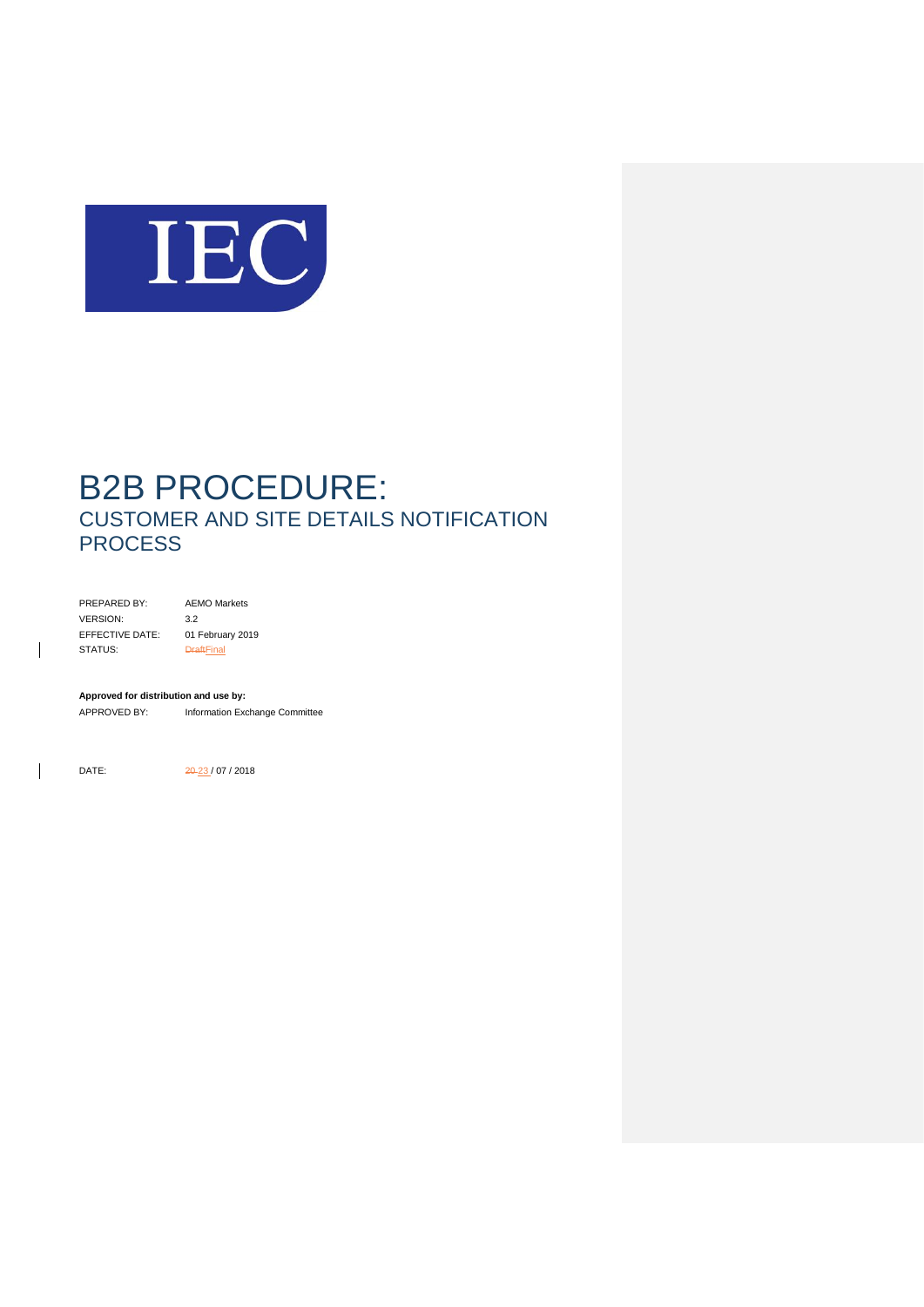

PREPARED BY: AEMO Markets VERSION: 3.2 EFFECTIVE DATE: 01 February 2019 STATUS: <del>DraftFinal</del>

**Approved for distribution and use by:**

APPROVED BY: Information Exchange Committee

 $\mathsf{l}$ 

 $\overline{\phantom{a}}$ 

DATE: 20-23 / 07 / 2018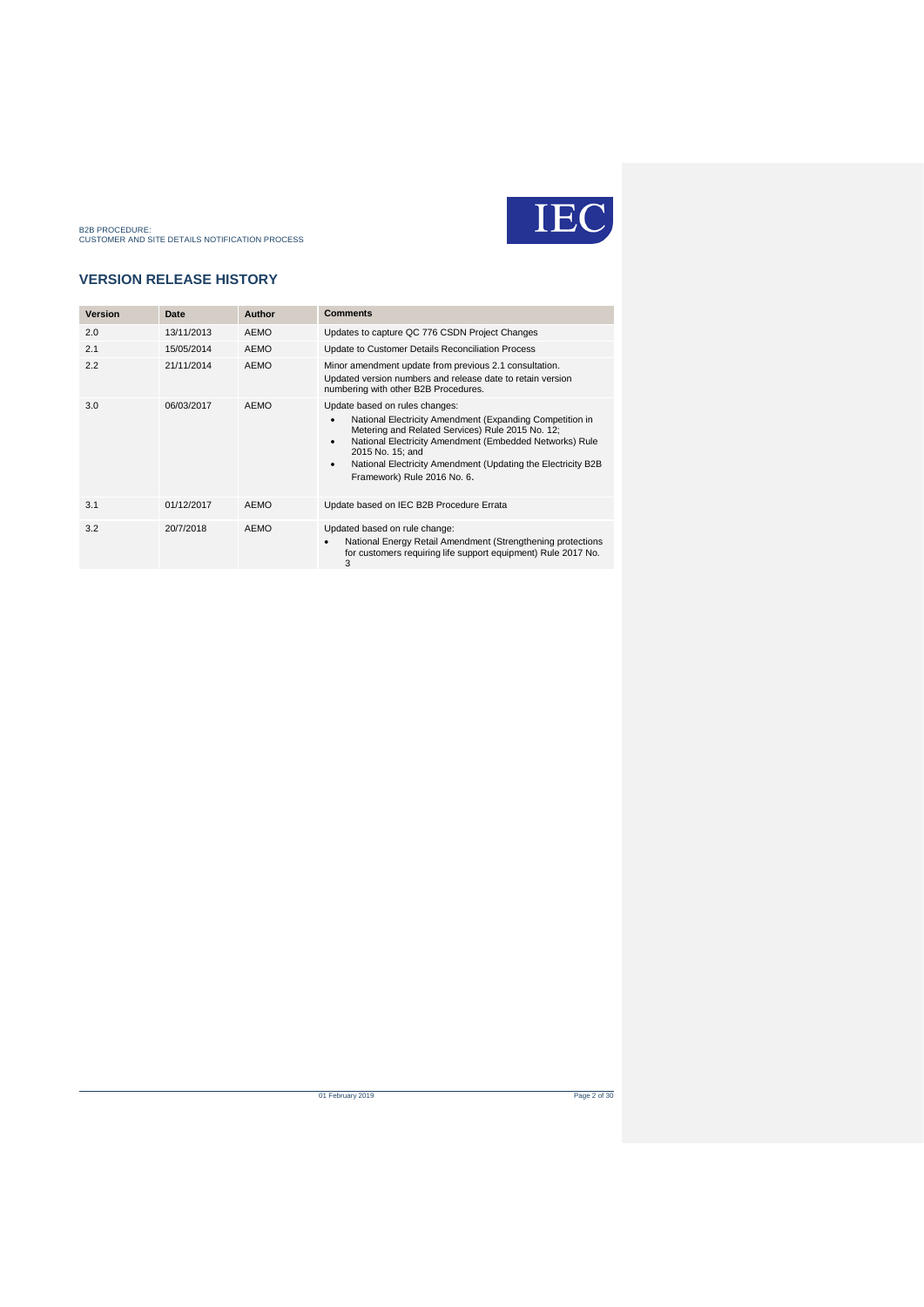

### **VERSION RELEASE HISTORY**

| <b>Version</b> | Date       | Author      | <b>Comments</b>                                                                                                                                                                                                                                                                                                                        |
|----------------|------------|-------------|----------------------------------------------------------------------------------------------------------------------------------------------------------------------------------------------------------------------------------------------------------------------------------------------------------------------------------------|
| 2.0            | 13/11/2013 | <b>AEMO</b> | Updates to capture QC 776 CSDN Project Changes                                                                                                                                                                                                                                                                                         |
| 2.1            | 15/05/2014 | <b>AEMO</b> | Update to Customer Details Reconciliation Process                                                                                                                                                                                                                                                                                      |
| 2.2            | 21/11/2014 | <b>AEMO</b> | Minor amendment update from previous 2.1 consultation.<br>Updated version numbers and release date to retain version<br>numbering with other B2B Procedures.                                                                                                                                                                           |
| 3.0            | 06/03/2017 | <b>AEMO</b> | Update based on rules changes:<br>National Electricity Amendment (Expanding Competition in<br>Metering and Related Services) Rule 2015 No. 12;<br>National Electricity Amendment (Embedded Networks) Rule<br>٠<br>2015 No. 15: and<br>National Electricity Amendment (Updating the Electricity B2B<br>٠<br>Framework) Rule 2016 No. 6. |
| 3.1            | 01/12/2017 | <b>AEMO</b> | Update based on IEC B2B Procedure Errata                                                                                                                                                                                                                                                                                               |
| 3.2            | 20/7/2018  | <b>AEMO</b> | Updated based on rule change:<br>National Energy Retail Amendment (Strengthening protections<br>$\bullet$<br>for customers requiring life support equipment) Rule 2017 No.<br>3                                                                                                                                                        |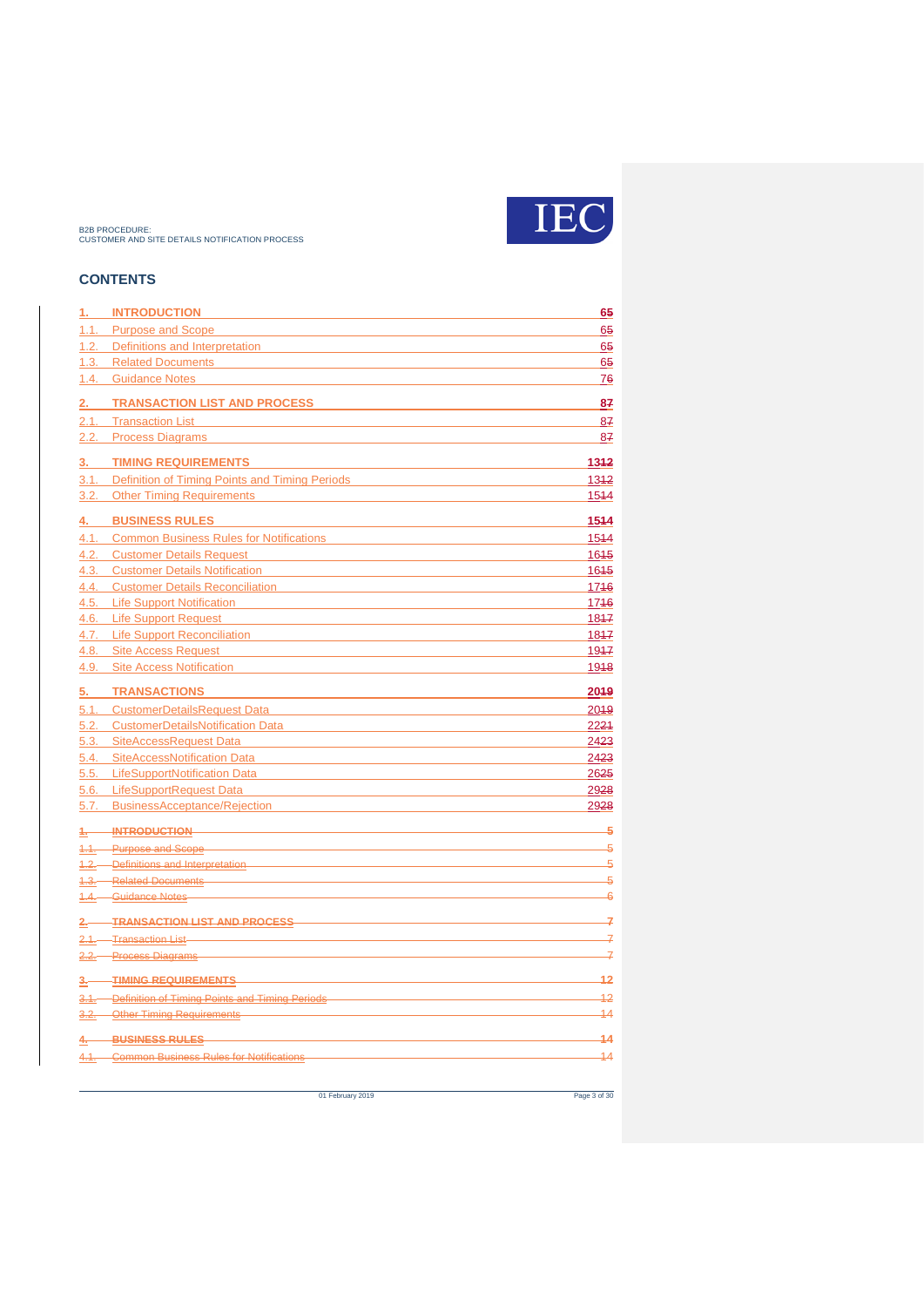

### **CONTENTS**

| 1.           | <b>INTRODUCTION</b>                                                            | 65              |
|--------------|--------------------------------------------------------------------------------|-----------------|
| 1.1.         | <b>Purpose and Scope</b>                                                       | 65              |
|              | 1.2. Definitions and Interpretation                                            | 65              |
| 1.3.         | <b>Related Documents</b>                                                       | 65              |
| 1.4.         | <b>Guidance Notes</b>                                                          | <u>76</u>       |
| <u>2. </u>   | <b>TRANSACTION LIST AND PROCESS</b>                                            | 87              |
| 2.1.         | <b>Transaction List</b>                                                        | 87              |
| 2.2.         | <b>Process Diagrams</b>                                                        | 87              |
| 3.           | <b>TIMING REQUIREMENTS</b>                                                     | 1342            |
| 3.1.         | Definition of Timing Points and Timing Periods                                 | $13 + 2$        |
| 3.2.         | <b>Other Timing Requirements</b>                                               | 1544            |
|              |                                                                                |                 |
| <u>4. </u>   | <b>BUSINESS RULES</b>                                                          | 1544            |
| 4.1.         | <b>Common Business Rules for Notifications</b>                                 | 1544            |
| 4.2.         | <b>Customer Details Request</b>                                                | 1645            |
| 4.3.         | <b>Customer Details Notification</b><br><b>Customer Details Reconciliation</b> | 1645<br>1746    |
| 4.4.<br>4.5. | <b>Life Support Notification</b>                                               | 1746            |
| 4.6.         | <b>Life Support Request</b>                                                    | 1847            |
|              | 4.7. Life Support Reconciliation                                               | 1847            |
| 4.8.         | <b>Site Access Request</b>                                                     | 1947            |
| 4.9.         | <b>Site Access Notification</b>                                                | 1918            |
|              |                                                                                |                 |
| 5.           | <b>TRANSACTIONS</b>                                                            | 2049            |
| 5.1.         | <b>CustomerDetailsRequest Data</b>                                             | 2049            |
| 5.2.<br>5.3. | <b>CustomerDetailsNotification Data</b><br>SiteAccessRequest Data              | 2221<br>2423    |
|              | <b>SiteAccessNotification Data</b>                                             | 2423            |
| 5.4.         | <b>LifeSupportNotification Data</b>                                            | 2625            |
| 5.5.         | 5.6. LifeSupportRequest Data                                                   |                 |
|              |                                                                                | 2928            |
|              | 5.7. BusinessAcceptance/Rejection                                              | 2928            |
|              | 1. INTRODUCTION                                                                | 5               |
|              | 1.1. Purpose and Scope                                                         | 5               |
|              | 4.2. Definitions and Interpretation                                            | $\overline{5}$  |
|              | 1.3. Related Documents                                                         | 5               |
|              | 1.4. Guidance Notes                                                            | $\overline{6}$  |
|              | 2. TRANSACTION LIST AND PROCESS                                                | 7               |
|              | 2.1. Transaction List-                                                         | 7               |
|              | 2.2. Process Diagrams                                                          | 7               |
|              | 3. TIMING REQUIREMENTS                                                         | 12              |
|              | 3.1. Definition of Timing Points and Timing Periods                            | 12              |
|              | 3.2. Other Timing Requirements                                                 | $\overline{14}$ |
| $4-$         | BUSINESS RULES                                                                 | $\overline{14}$ |
|              | 4.1. Common Business Rules for Notifications                                   | $\overline{14}$ |
|              |                                                                                |                 |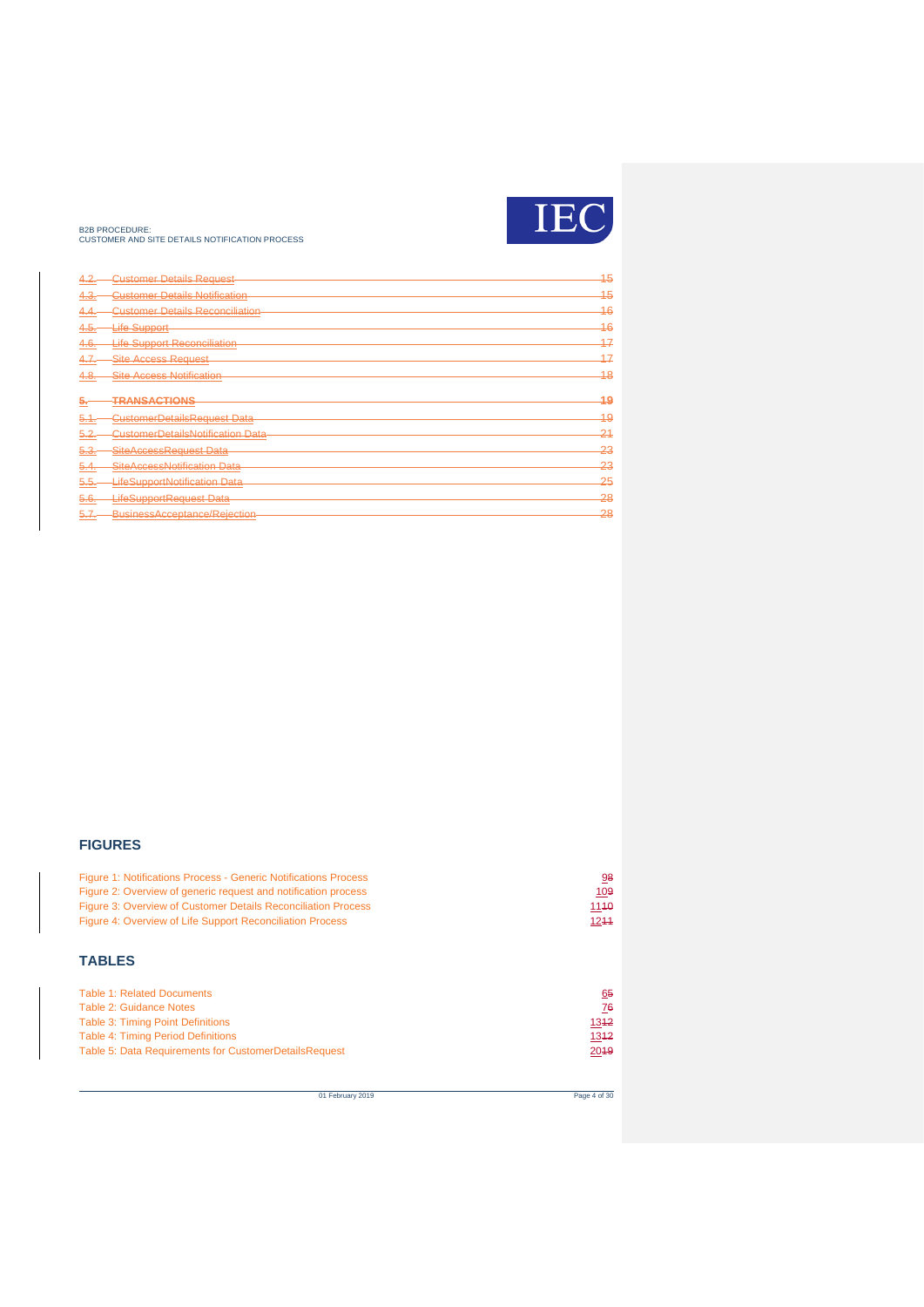

| 4.2.            | <b>Customer Details Request</b>         | 15      |
|-----------------|-----------------------------------------|---------|
| 4.3.            | <b>Customer Details Notification</b>    | 15      |
| به.4            | <b>Customer Details Reconciliation</b>  | 16      |
| 4.5.            | Life Support-                           | 16      |
| 4.6.            | <b>Life Support Reconciliation</b>      | 17      |
| 4.7.            | <b>Site Access Request</b>              | 17      |
| 4.8.            | <b>Site Access Notification</b>         | 18      |
|                 |                                         |         |
| بە              | TRANSACTIONS                            | 49      |
| 5.1.            | CustomerDetailsRequest Data             | $^{49}$ |
| <del>5.2.</del> | <b>CustomerDetailsNotification Data</b> | $-21$   |
| 5.3.            | SiteAccessReguest Data                  | 23      |
| $-5.4.$         | SiteAccessNotification Data             | 23      |
| 5.5.            | LifeSupportNotification Data            | 25      |
| <del>b.6.</del> | LifeSupportRequest Data                 | 28      |
|                 | BusinessAcceptance/Rejection            | 28      |

#### **FIGURES**

| <b>Figure 1: Notifications Process - Generic Notifications Process</b> | 98   |
|------------------------------------------------------------------------|------|
| Figure 2: Overview of generic request and notification process         | 109  |
| Figure 3: Overview of Customer Details Reconciliation Process          | 1140 |
| Figure 4: Overview of Life Support Reconciliation Process              | 1244 |

### **TABLES**

| <b>Table 1: Related Documents</b>                     | 65   |
|-------------------------------------------------------|------|
| Table 2: Guidance Notes                               | 76   |
| Table 3: Timing Point Definitions                     | 1342 |
| Table 4: Timing Period Definitions                    | 1342 |
| Table 5: Data Requirements for CustomerDetailsRequest | 2019 |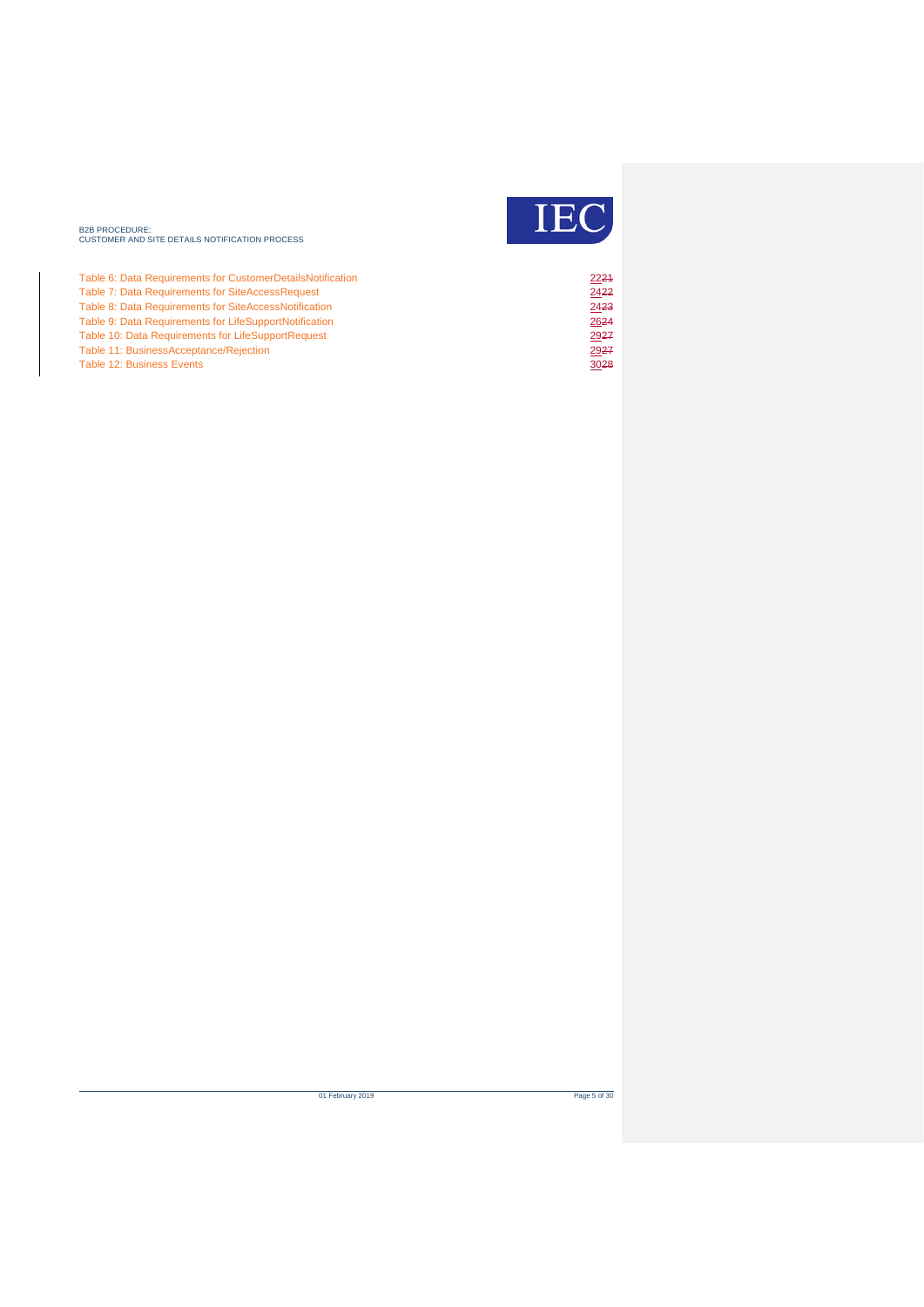

| Table 6: Data Requirements for CustomerDetailsNotification | 2221 |
|------------------------------------------------------------|------|
| Table 7: Data Requirements for SiteAccessRequest           | 2422 |
| Table 8: Data Requirements for SiteAccessNotification      | 2423 |
| Table 9: Data Requirements for LifeSupportNotification     | 2624 |
| Table 10: Data Requirements for LifeSupportRequest         | 2927 |
| Table 11: BusinessAcceptance/Rejection                     | 2927 |
| <b>Table 12: Business Events</b>                           | 3028 |

of February 2019 Page 5 of 30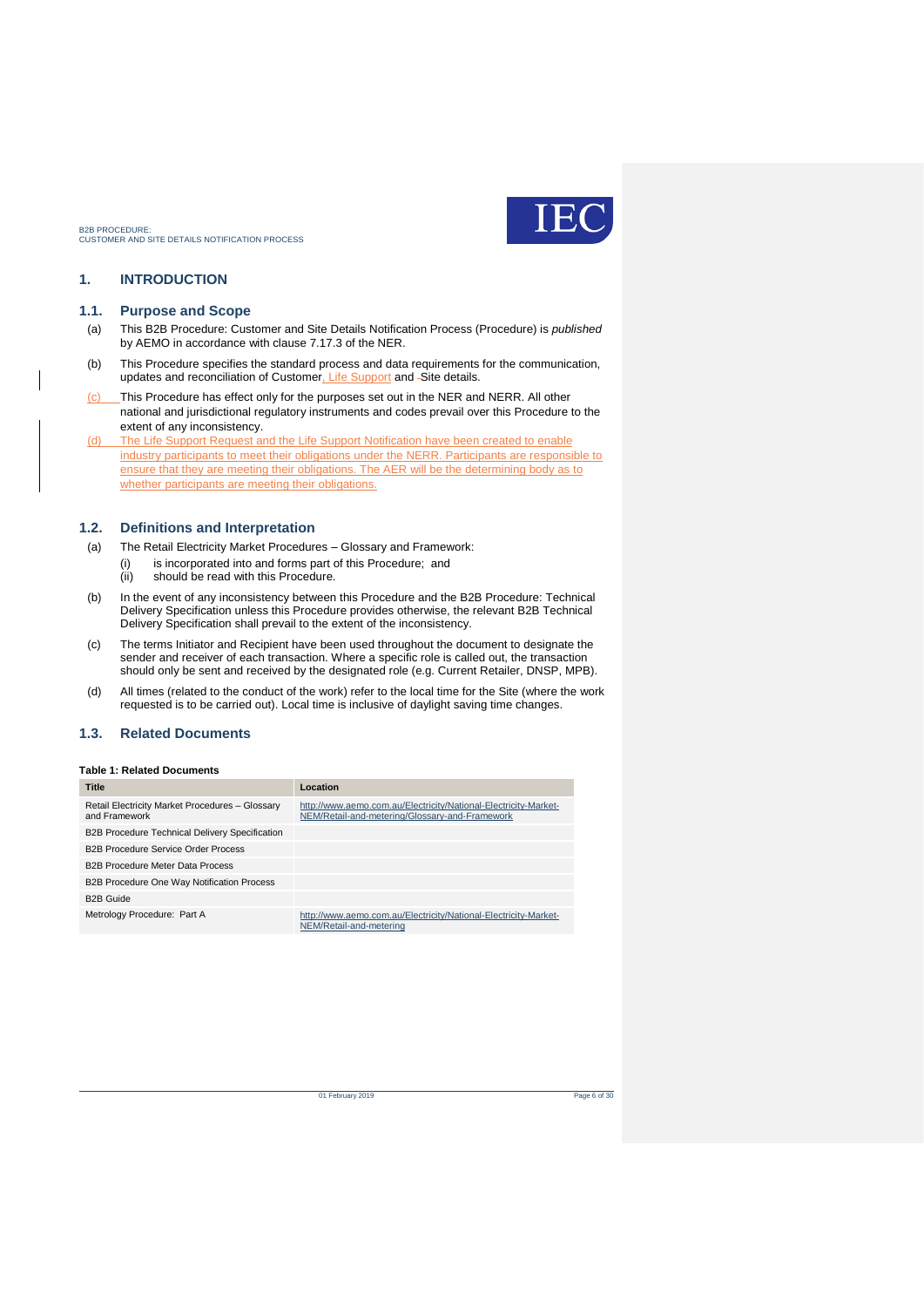

### <span id="page-5-0"></span>**1. INTRODUCTION**

#### <span id="page-5-1"></span>**1.1. Purpose and Scope**

- (a) This B2B Procedure: Customer and Site Details Notification Process (Procedure) is *published* by AEMO in accordance with clause 7.17.3 of the NER.
- (b) This Procedure specifies the standard process and data requirements for the communication, updates and reconciliation of Customer, Life Support and -Site details.
- (c) This Procedure has effect only for the purposes set out in the NER and NERR. All other national and jurisdictional regulatory instruments and codes prevail over this Procedure to the extent of any inconsistency.
- (d) The Life Support Request and the Life Support Notification have been created to enable industry participants to meet their obligations under the NERR. Participants are responsible to ensure that they are meeting their obligations. The AER will be the determining body as to whether participants are meeting their obligations.

#### <span id="page-5-2"></span>**1.2. Definitions and Interpretation**

- (a) The Retail Electricity Market Procedures Glossary and Framework:
	- (i) is incorporated into and forms part of this Procedure; and
		- (ii) should be read with this Procedure.
- (b) In the event of any inconsistency between this Procedure and the B2B Procedure: Technical Delivery Specification unless this Procedure provides otherwise, the relevant B2B Technical Delivery Specification shall prevail to the extent of the inconsistency.
- (c) The terms Initiator and Recipient have been used throughout the document to designate the sender and receiver of each transaction. Where a specific role is called out, the transaction should only be sent and received by the designated role (e.g. Current Retailer, DNSP, MPB).
- (d) All times (related to the conduct of the work) refer to the local time for the Site (where the work requested is to be carried out). Local time is inclusive of daylight saving time changes.

#### <span id="page-5-3"></span>**1.3. Related Documents**

#### <span id="page-5-4"></span>**Table 1: Related Documents**

| <b>Title</b>                                                     | Location                                                                                                          |
|------------------------------------------------------------------|-------------------------------------------------------------------------------------------------------------------|
| Retail Electricity Market Procedures - Glossary<br>and Framework | http://www.aemo.com.au/Electricity/National-Electricity-Market-<br>NEM/Retail-and-metering/Glossary-and-Framework |
| <b>B2B Procedure Technical Delivery Specification</b>            |                                                                                                                   |
| <b>B2B Procedure Service Order Process</b>                       |                                                                                                                   |
| <b>B2B Procedure Meter Data Process</b>                          |                                                                                                                   |
| <b>B2B Procedure One Way Notification Process</b>                |                                                                                                                   |
| <b>B2B Guide</b>                                                 |                                                                                                                   |
| Metrology Procedure: Part A                                      | http://www.aemo.com.au/Electricity/National-Electricity-Market-<br>NEM/Retail-and-metering                        |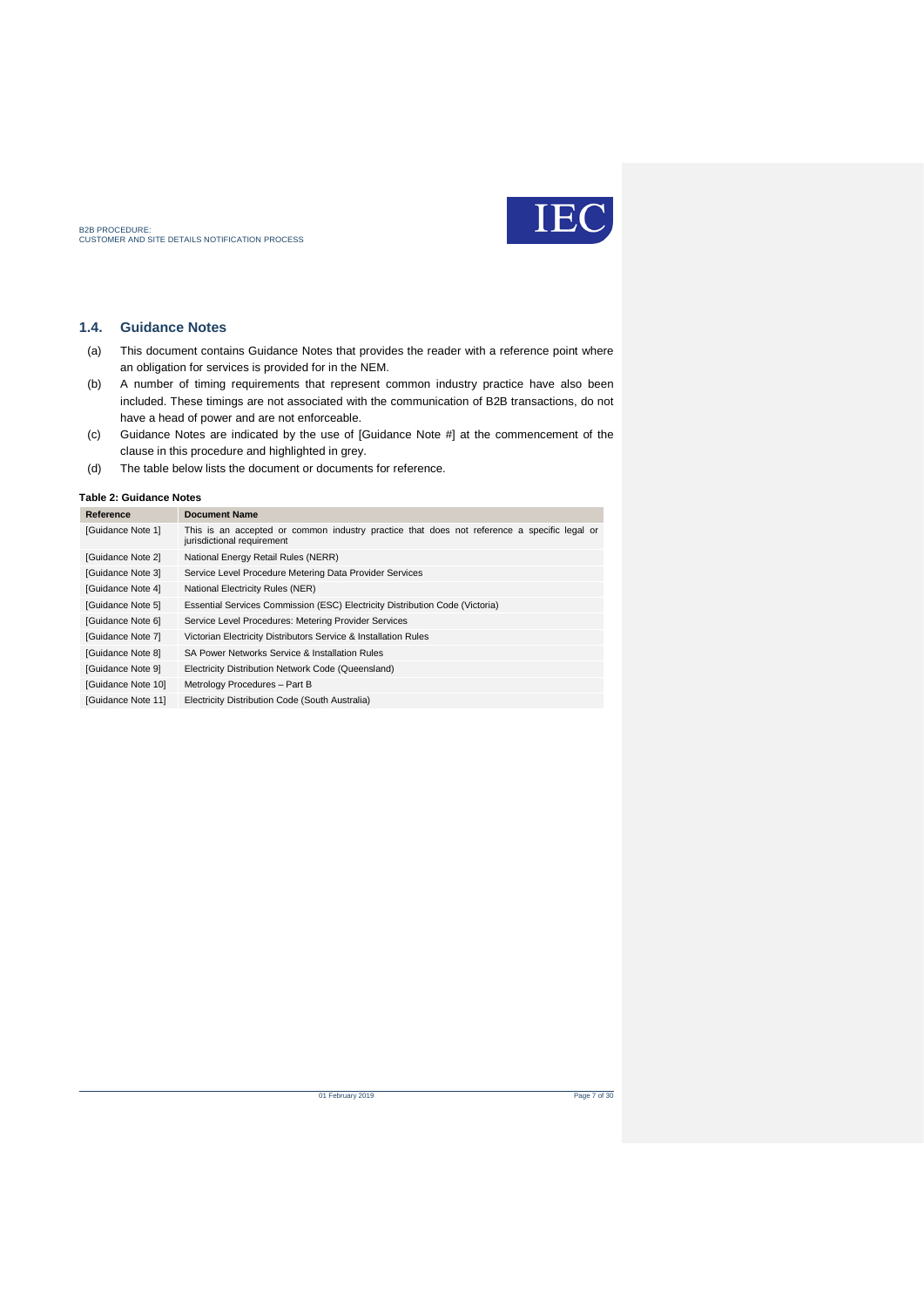

### <span id="page-6-0"></span>**1.4. Guidance Notes**

- (a) This document contains Guidance Notes that provides the reader with a reference point where an obligation for services is provided for in the NEM.
- (b) A number of timing requirements that represent common industry practice have also been included. These timings are not associated with the communication of B2B transactions, do not have a head of power and are not enforceable.
- (c) Guidance Notes are indicated by the use of [Guidance Note #] at the commencement of the clause in this procedure and highlighted in grey.
- (d) The table below lists the document or documents for reference.

#### <span id="page-6-1"></span>**Table 2: Guidance Notes**

| Reference          | <b>Document Name</b>                                                                                                      |
|--------------------|---------------------------------------------------------------------------------------------------------------------------|
| [Guidance Note 1]  | This is an accepted or common industry practice that does not reference a specific legal or<br>jurisdictional requirement |
| [Guidance Note 2]  | National Energy Retail Rules (NERR)                                                                                       |
| [Guidance Note 3]  | Service Level Procedure Metering Data Provider Services                                                                   |
| [Guidance Note 4]  | National Electricity Rules (NER)                                                                                          |
| [Guidance Note 5]  | Essential Services Commission (ESC) Electricity Distribution Code (Victoria)                                              |
| [Guidance Note 6]  | Service Level Procedures: Metering Provider Services                                                                      |
| [Guidance Note 7]  | Victorian Electricity Distributors Service & Installation Rules                                                           |
| [Guidance Note 8]  | SA Power Networks Service & Installation Rules                                                                            |
| [Guidance Note 9]  | Electricity Distribution Network Code (Queensland)                                                                        |
| [Guidance Note 10] | Metrology Procedures - Part B                                                                                             |
| [Guidance Note 11] | Electricity Distribution Code (South Australia)                                                                           |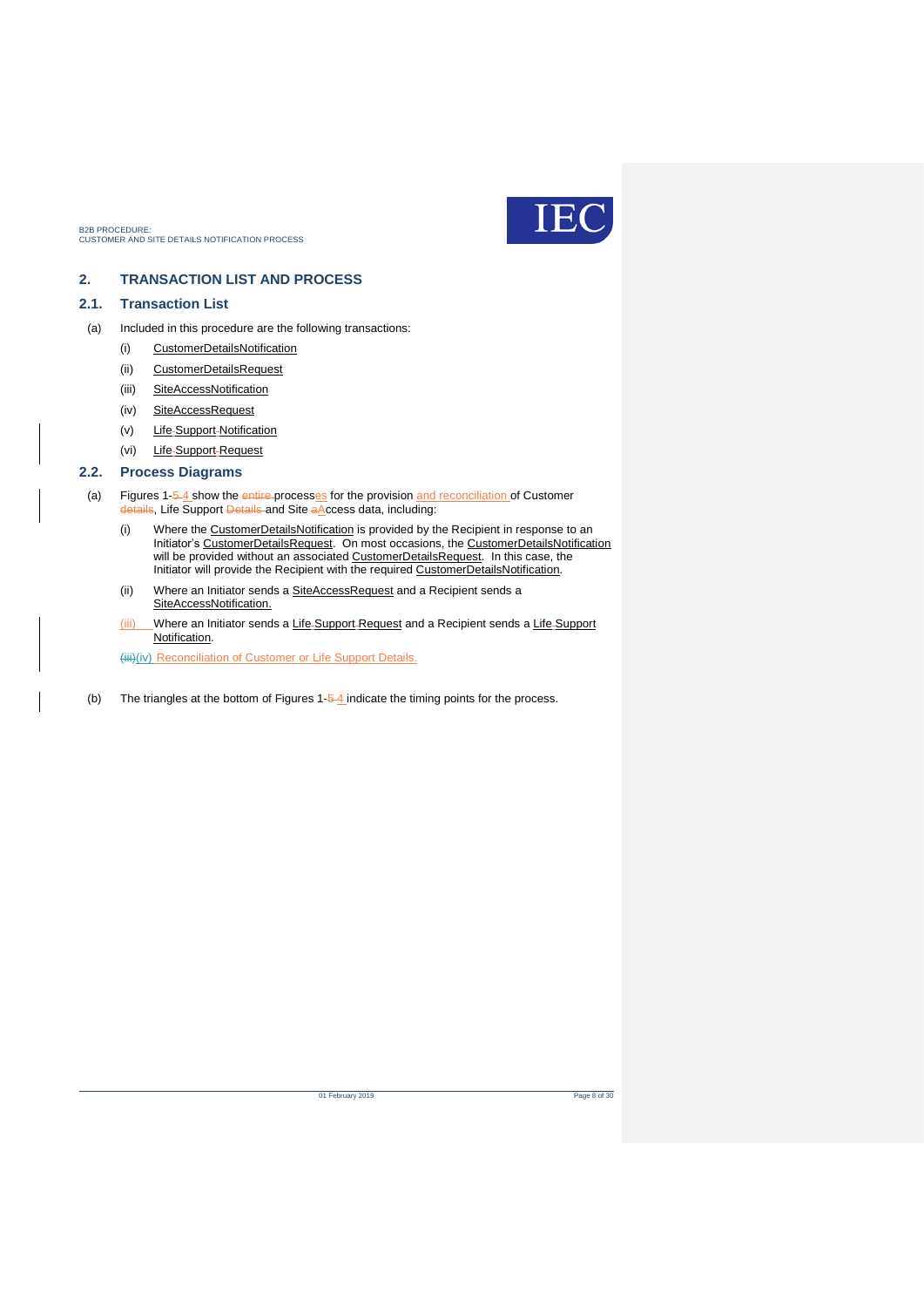

### <span id="page-7-0"></span>**2. TRANSACTION LIST AND PROCESS**

### <span id="page-7-1"></span>**2.1. Transaction List**

- (a) Included in this procedure are the following transactions:
	- (i) CustomerDetailsNotification
	- (ii) CustomerDetailsRequest
	- (iii) SiteAccessNotification
	- (iv) SiteAccessRequest
	- (v) Life-Support-Notification
	- (vi) Life-Support-Request

### <span id="page-7-2"></span>**2.2. Process Diagrams**

- (a) Figures 1-5-4 show the entire-processes for the provision and reconciliation of Customer details, Life Support Details and Site aAccess data, including:
	- (i) Where the CustomerDetailsNotification is provided by the Recipient in response to an Initiator's CustomerDetailsRequest. On most occasions, the CustomerDetailsNotification will be provided without an associated CustomerDetailsRequest. In this case, the Initiator will provide the Recipient with the required CustomerDetailsNotification.
	- (ii) Where an Initiator sends a SiteAccessRequest and a Recipient sends a SiteAccessNotification.
	- (iii) Where an Initiator sends a Life-Support-Request and a Recipient sends a Life-Support Notification.

(iii)(iv) Reconciliation of Customer or Life Support Details.

(b) The triangles at the bottom of Figures  $1-\frac{4}{2}$  indicate the timing points for the process.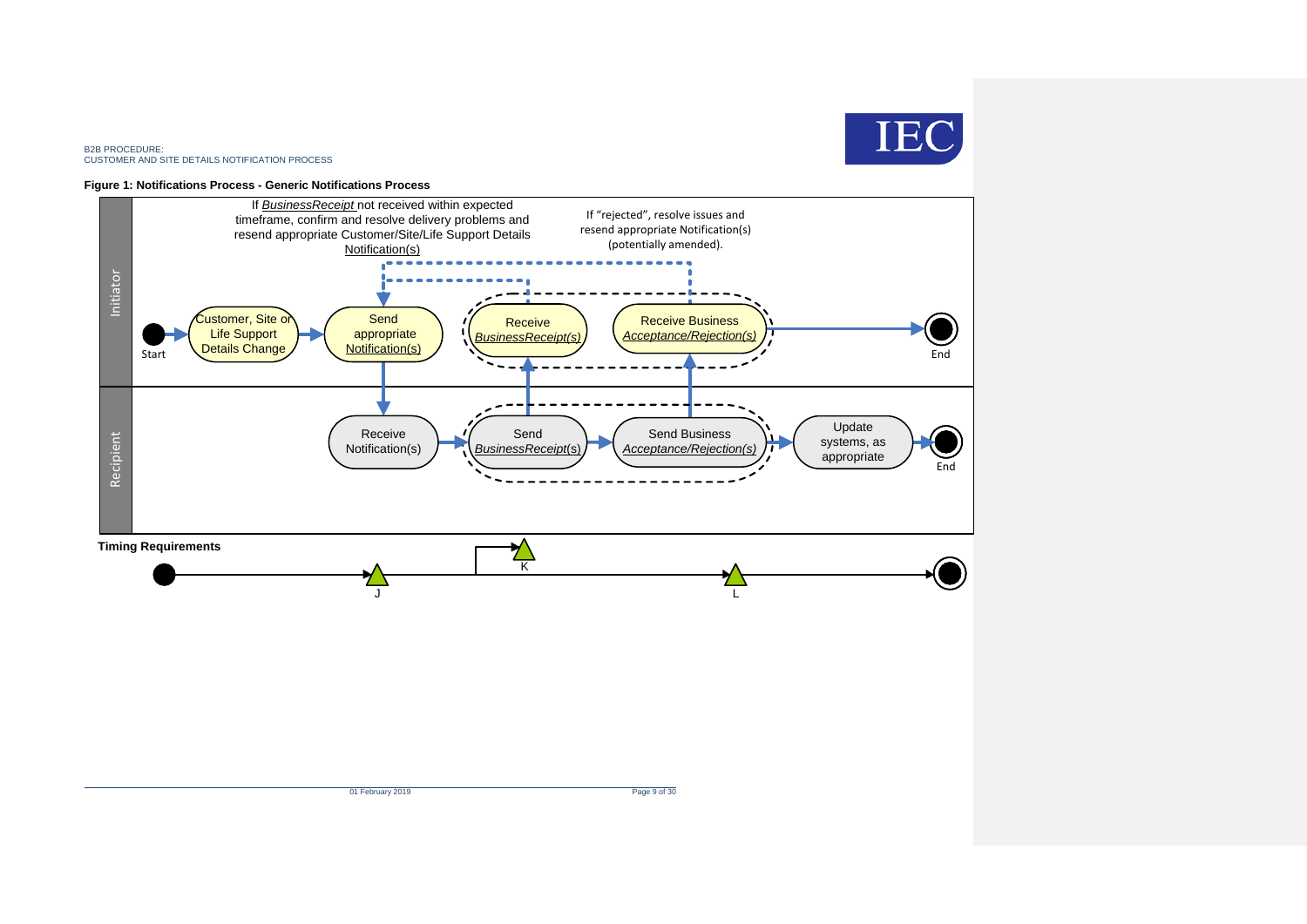

#### **Figure 1: Notifications Process - Generic Notifications Process**

<span id="page-8-0"></span>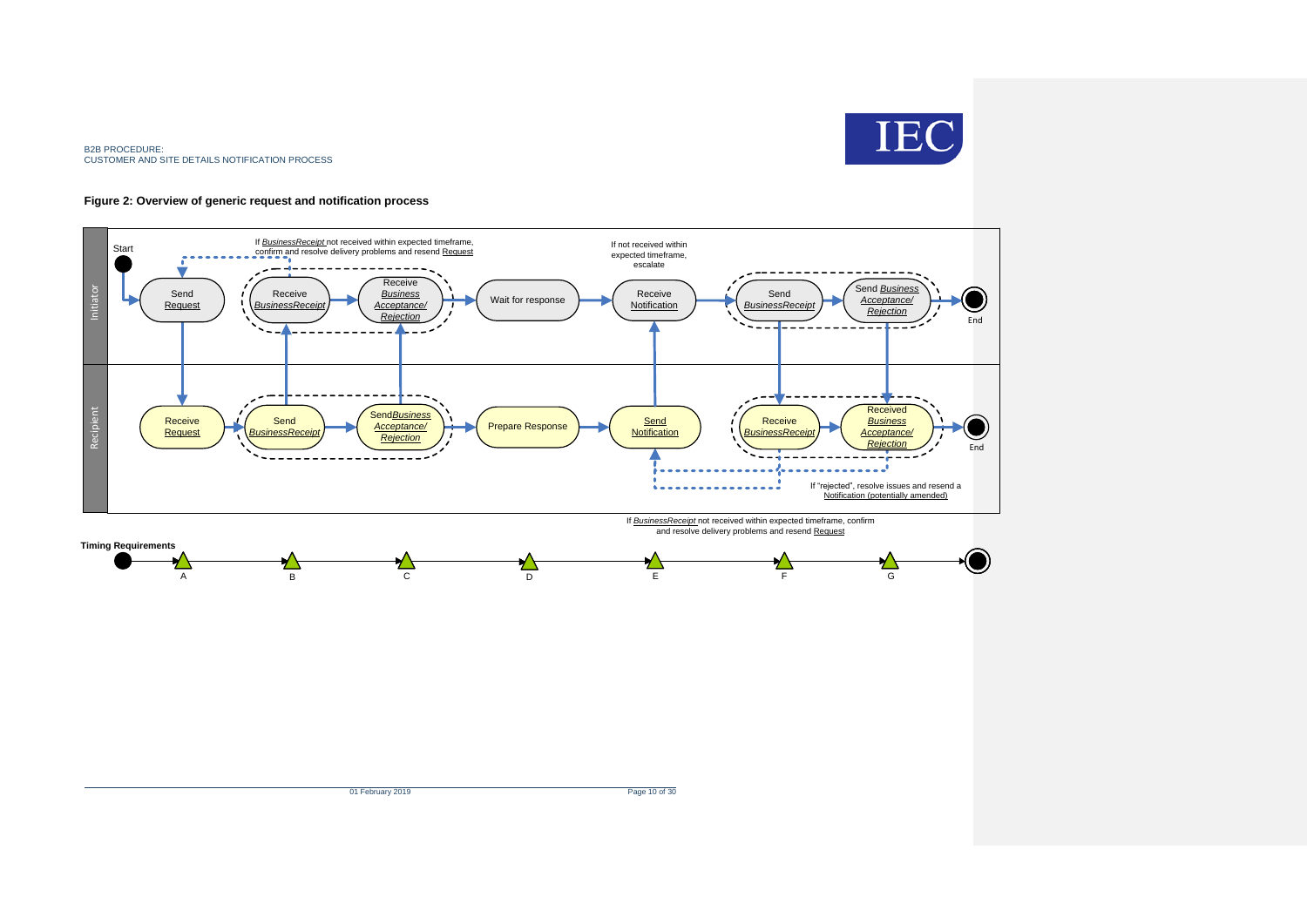

#### **Figure 2: Overview of generic request and notification process**

<span id="page-9-0"></span>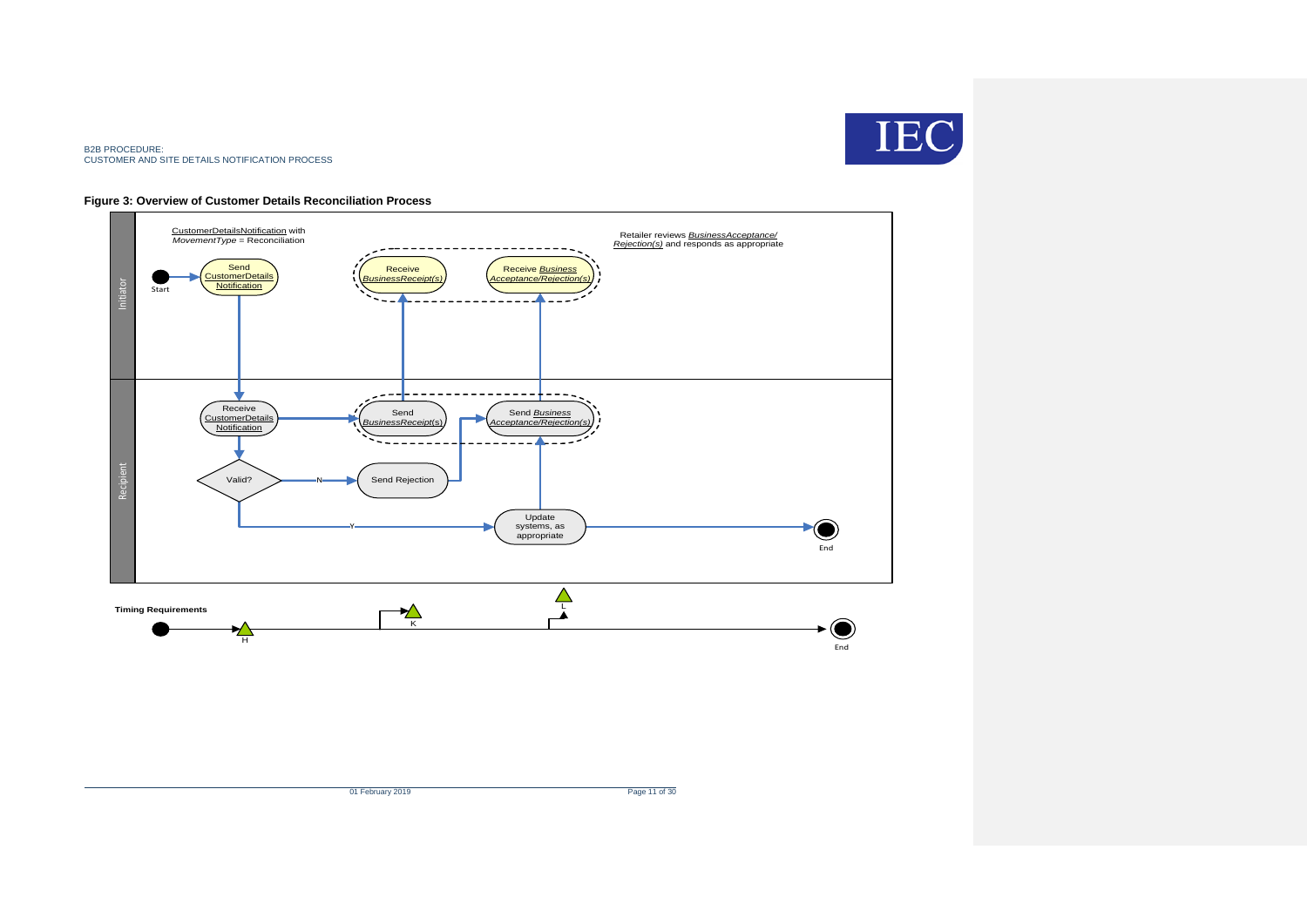

#### **Figure 3: Overview of Customer Details Reconciliation Process**

<span id="page-10-0"></span>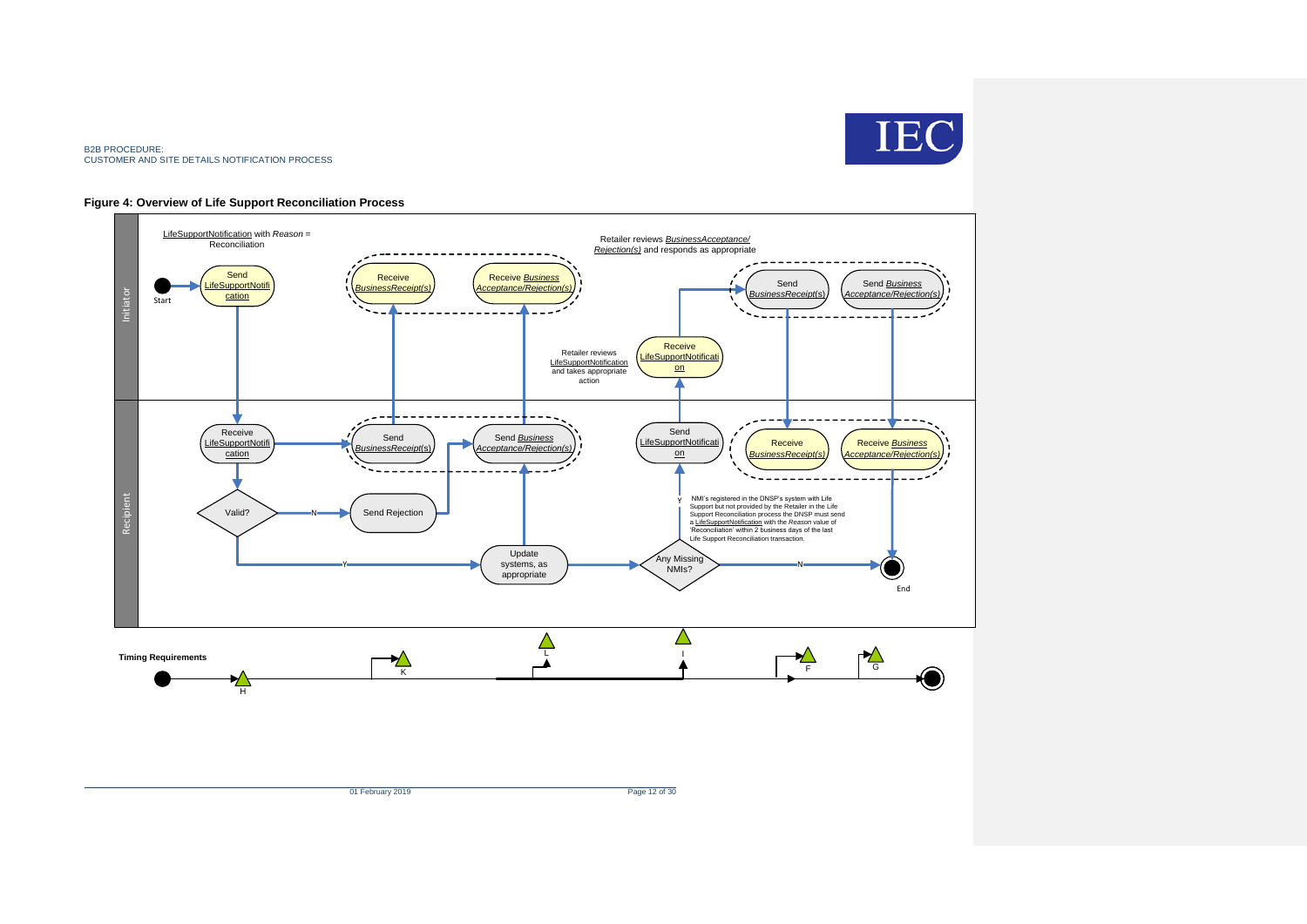

#### **Figure 4: Overview of Life Support Reconciliation Process**

<span id="page-11-0"></span>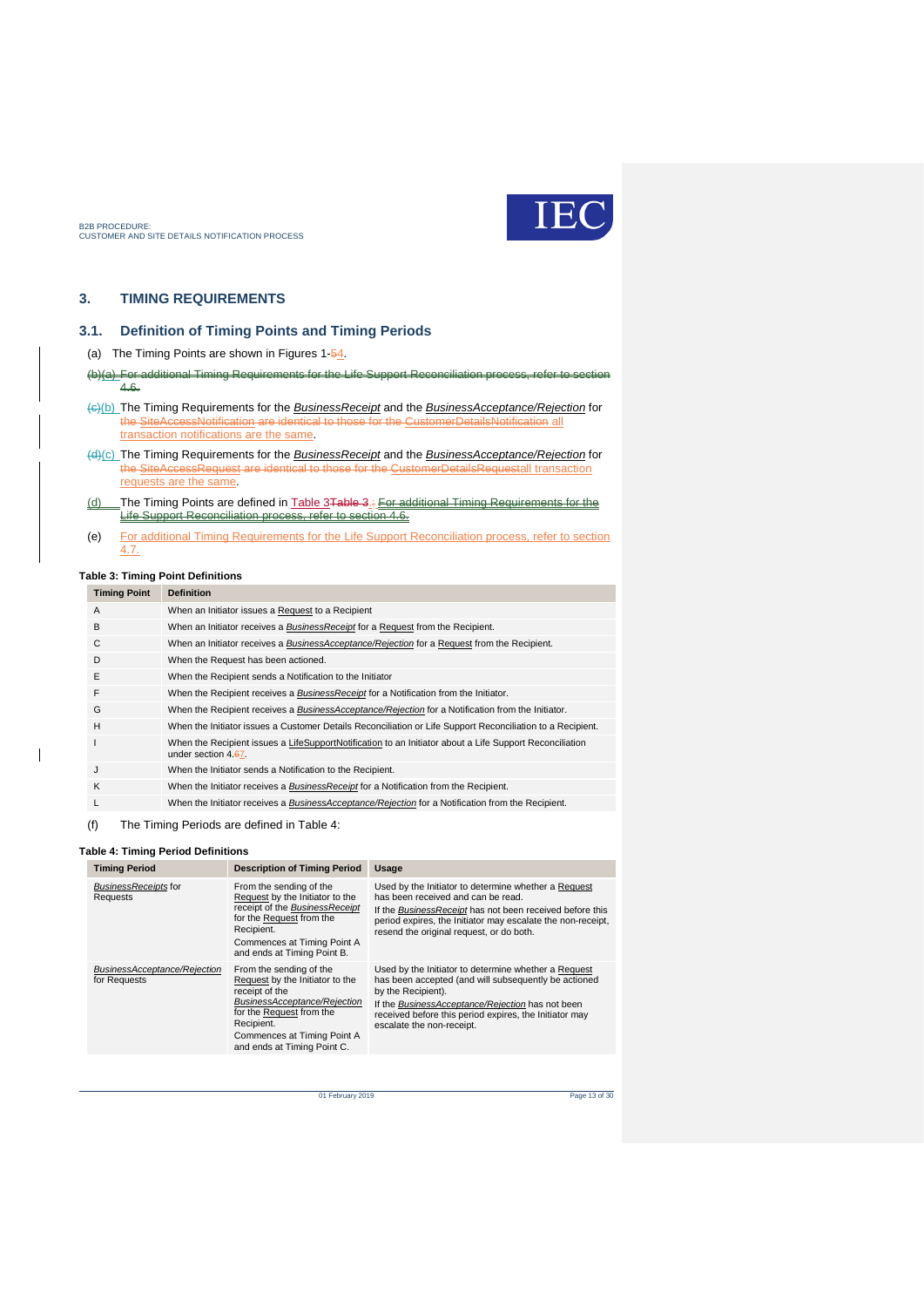

### <span id="page-12-0"></span>**3. TIMING REQUIREMENTS**

#### <span id="page-12-1"></span>**3.1. Definition of Timing Points and Timing Periods**

(a) The Timing Points are shown in Figures 1-54.

- (b)(a) For additional Timing Requirements for the Life Support Reconciliation process, refer to 4.6.
- (c)(b) The Timing Requirements for the *BusinessReceipt* and the *BusinessAcceptance/Rejection* for the SiteAccessNotification are identical to those for the CustomerDetailsNotification all transaction notifications are the same.
- (d)(c) The Timing Requirements for the *BusinessReceipt* and the *BusinessAcceptance/Rejection* for equest are identical to those for the CustomerDetailsRequestall transaction requests are the same.
- (d) The Timing Points are defined in [Table 3Table 3.](#page-12-2): For additional Timing Requirements for the Life Support Reconciliation process, refer to section 4.6.
- (e) For additional Timing Requirements for the Life Support Reconciliation process, refer to section 4.7.

#### <span id="page-12-2"></span>**Table 3: Timing Point Definitions**

### **Timing Point Definition** A When an Initiator issues a Request to a Recipient B When an Initiator receives a *BusinessReceipt* for a Request from the Recipient. C When an Initiator receives a *BusinessAcceptance/Rejection* for a Request from the Recipient. D When the Request has been actioned. E When the Recipient sends a Notification to the Initiator F When the Recipient receives a *BusinessReceipt* for a Notification from the Initiator.

- G When the Recipient receives a *BusinessAcceptance/Rejection* for a Notification from the Initiator.
- H When the Initiator issues a Customer Details Reconciliation or Life Support Reconciliation to a Recipient. I When the Recipient issues a LifeSupportNotification to an Initiator about a Life Support Reconciliation under section 4.67.
- J When the Initiator sends a Notification to the Recipient.
- K When the Initiator receives a *BusinessReceipt* for a Notification from the Recipient.
- L When the Initiator receives a *BusinessAcceptance/Rejection* for a Notification from the Recipient.
- (f) The Timing Periods are defined in Table 4:

#### <span id="page-12-3"></span>**Table 4: Timing Period Definitions**

| <b>Timing Period</b>                         | <b>Description of Timing Period</b>                                                                                                                                                                                  | Usage                                                                                                                                                                                                                                                                         |
|----------------------------------------------|----------------------------------------------------------------------------------------------------------------------------------------------------------------------------------------------------------------------|-------------------------------------------------------------------------------------------------------------------------------------------------------------------------------------------------------------------------------------------------------------------------------|
| <b>BusinessReceipts for</b><br>Requests      | From the sending of the<br>Request by the Initiator to the<br>receipt of the BusinessReceipt<br>for the Request from the<br>Recipient.<br>Commences at Timing Point A<br>and ends at Timing Point B.                 | Used by the Initiator to determine whether a Request<br>has been received and can be read.<br>If the BusinessReceipt has not been received before this<br>period expires, the Initiator may escalate the non-receipt,<br>resend the original request, or do both.             |
| BusinessAcceptance/Rejection<br>for Requests | From the sending of the<br>Request by the Initiator to the<br>receipt of the<br>BusinessAcceptance/Rejection<br>for the Request from the<br>Recipient.<br>Commences at Timing Point A<br>and ends at Timing Point C. | Used by the Initiator to determine whether a Request<br>has been accepted (and will subsequently be actioned<br>by the Recipient).<br>If the BusinessAcceptance/Rejection has not been<br>received before this period expires, the Initiator may<br>escalate the non-receipt. |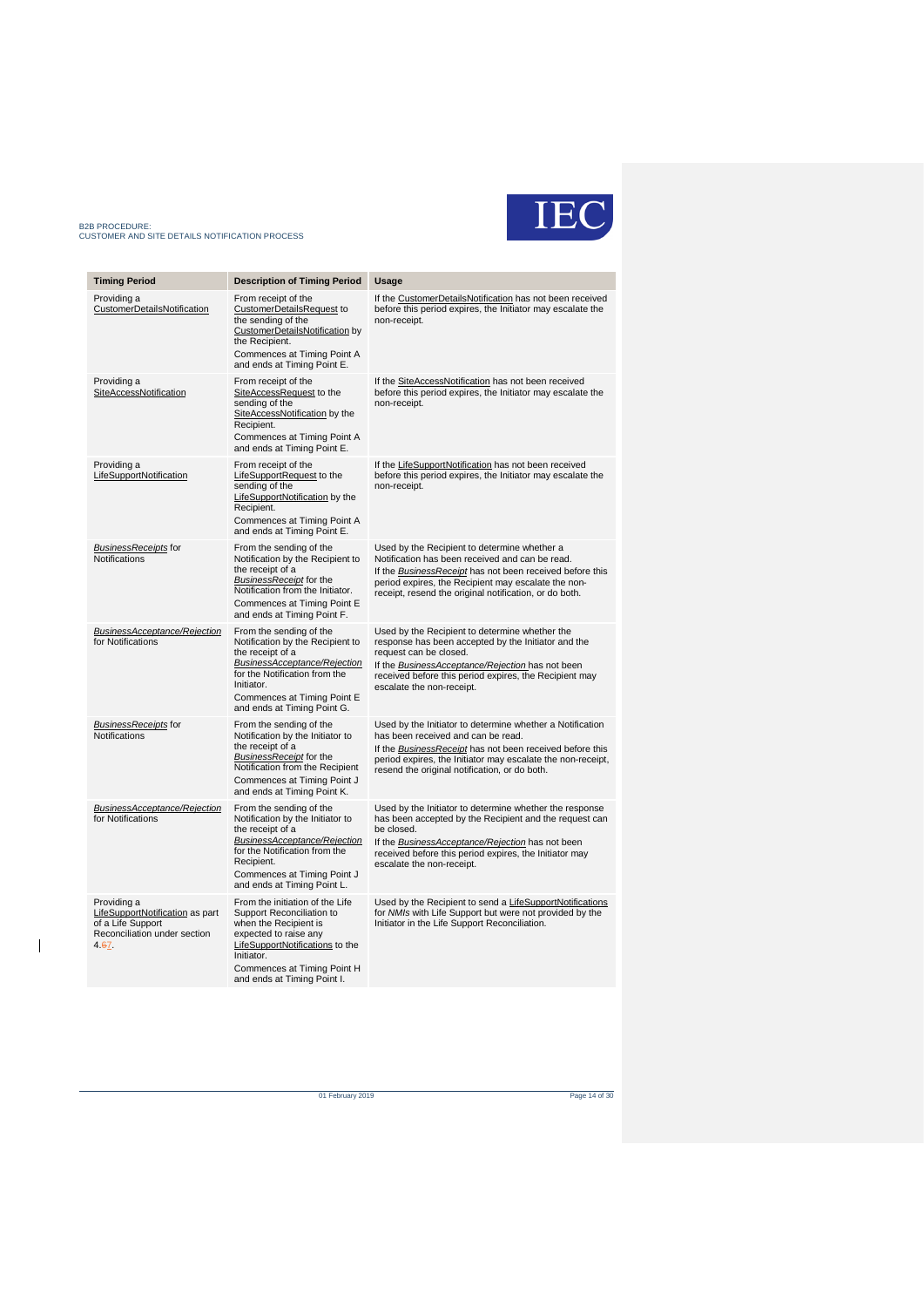# IEC

### B2B PROCEDURE: CUSTOMER AND SITE DETAILS NOTIFICATION PROCESS

 $\overline{\phantom{a}}$ 

| <b>Timing Period</b>                                                                                         | <b>Description of Timing Period</b>                                                                                                                                                                                           | Usage                                                                                                                                                                                                                                                                                |
|--------------------------------------------------------------------------------------------------------------|-------------------------------------------------------------------------------------------------------------------------------------------------------------------------------------------------------------------------------|--------------------------------------------------------------------------------------------------------------------------------------------------------------------------------------------------------------------------------------------------------------------------------------|
| Providing a<br><b>CustomerDetailsNotification</b>                                                            | From receipt of the<br><b>CustomerDetailsRequest to</b><br>the sending of the<br>CustomerDetailsNotification by<br>the Recipient.<br>Commences at Timing Point A<br>and ends at Timing Point E.                               | If the CustomerDetailsNotification has not been received<br>before this period expires, the Initiator may escalate the<br>non-receipt.                                                                                                                                               |
| Providing a<br><b>SiteAccessNotification</b>                                                                 | From receipt of the<br>SiteAccessRequest to the<br>sending of the<br>SiteAccessNotification by the<br>Recipient.<br>Commences at Timing Point A<br>and ends at Timing Point E.                                                | If the SiteAccessNotification has not been received<br>before this period expires, the Initiator may escalate the<br>non-receipt.                                                                                                                                                    |
| Providing a<br>LifeSupportNotification                                                                       | From receipt of the<br>LifeSupportRequest to the<br>sending of the<br>LifeSupportNotification by the<br>Recipient.<br>Commences at Timing Point A<br>and ends at Timing Point E.                                              | If the LifeSupportNotification has not been received<br>before this period expires, the Initiator may escalate the<br>non-receipt.                                                                                                                                                   |
| <b>BusinessReceipts for</b><br><b>Notifications</b>                                                          | From the sending of the<br>Notification by the Recipient to<br>the receipt of a<br><b>BusinessReceipt</b> for the<br>Notification from the Initiator.<br>Commences at Timing Point E<br>and ends at Timing Point F.           | Used by the Recipient to determine whether a<br>Notification has been received and can be read.<br>If the <b>Business Receipt</b> has not been received before this<br>period expires, the Recipient may escalate the non-<br>receipt, resend the original notification, or do both. |
| <b>BusinessAcceptance/Rejection</b><br>for Notifications                                                     | From the sending of the<br>Notification by the Recipient to<br>the receipt of a<br>BusinessAcceptance/Rejection<br>for the Notification from the<br>Initiator.<br>Commences at Timing Point E<br>and ends at Timing Point G.  | Used by the Recipient to determine whether the<br>response has been accepted by the Initiator and the<br>request can be closed.<br>If the BusinessAcceptance/Rejection has not been<br>received before this period expires, the Recipient may<br>escalate the non-receipt.           |
| <b>BusinessReceipts</b> for<br><b>Notifications</b>                                                          | From the sending of the<br>Notification by the Initiator to<br>the receipt of a<br><b>BusinessReceipt</b> for the<br>Notification from the Recipient<br>Commences at Timing Point J<br>and ends at Timing Point K.            | Used by the Initiator to determine whether a Notification<br>has been received and can be read.<br>If the BusinessReceipt has not been received before this<br>period expires, the Initiator may escalate the non-receipt,<br>resend the original notification, or do both.          |
| BusinessAcceptance/Rejection<br>for Notifications                                                            | From the sending of the<br>Notification by the Initiator to<br>the receipt of a<br>BusinessAcceptance/Rejection<br>for the Notification from the<br>Recipient.<br>Commences at Timing Point J<br>and ends at Timing Point L.  | Used by the Initiator to determine whether the response<br>has been accepted by the Recipient and the request can<br>be closed.<br>If the <b>BusinessAcceptance/Rejection</b> has not been<br>received before this period expires, the Initiator may<br>escalate the non-receipt.    |
| Providing a<br>LifeSupportNotification as part<br>of a Life Support<br>Reconciliation under section<br>4.67. | From the initiation of the Life<br>Support Reconciliation to<br>when the Recipient is<br>expected to raise any<br>LifeSupportNotifications to the<br>Initiator.<br>Commences at Timing Point H<br>and ends at Timing Point I. | Used by the Recipient to send a <b>LifeSupportNotifications</b><br>for NMIs with Life Support but were not provided by the<br>Initiator in the Life Support Reconciliation.                                                                                                          |

of February 2019 Page 14 of 30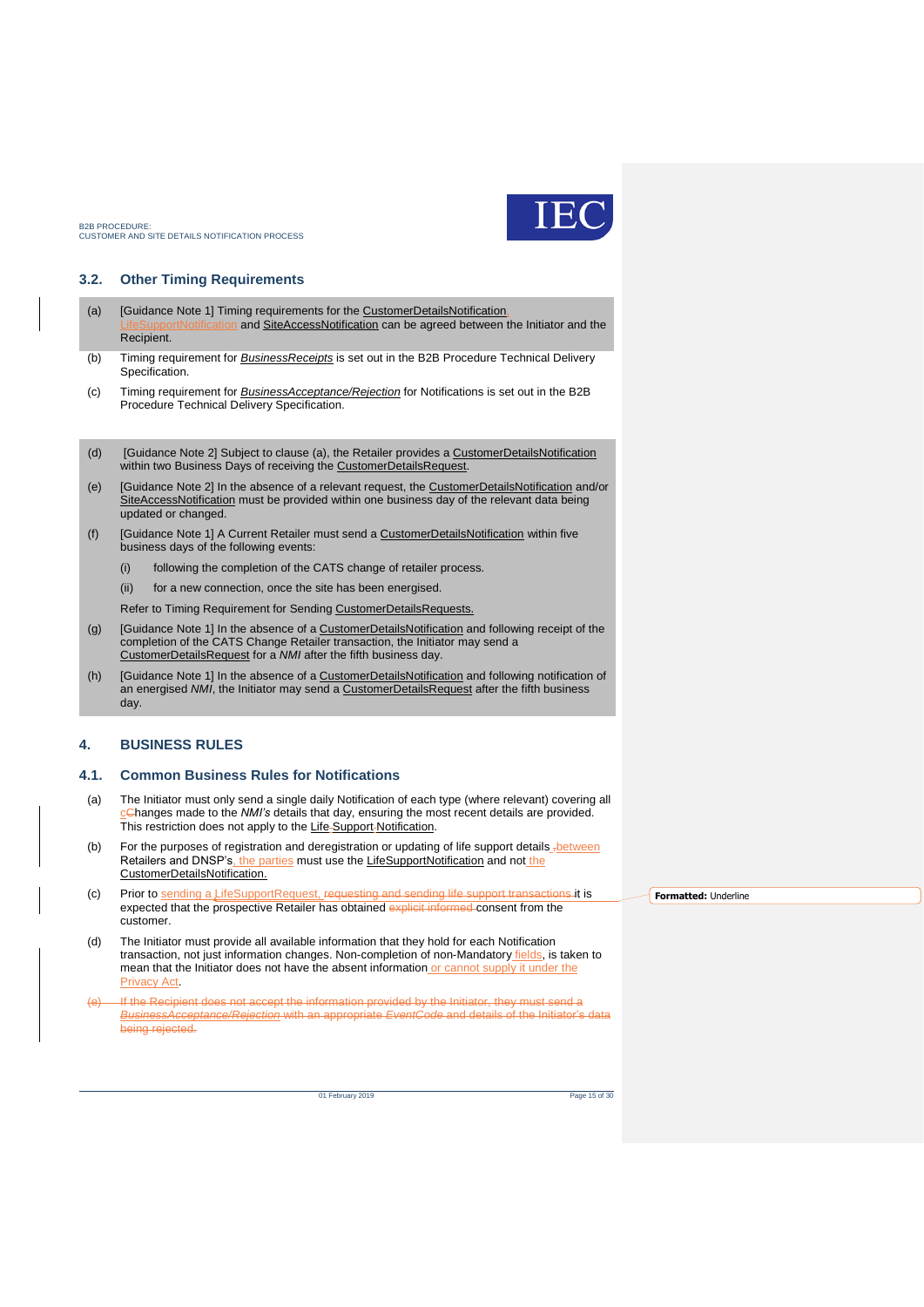

### <span id="page-14-0"></span>**3.2. Other Timing Requirements**

- <span id="page-14-3"></span>(a) [Guidance Note 1] Timing requirements for the CustomerDetailsNotification In and SiteAccessNotification can be agreed between the Initiator and the Recipient.
- (b) Timing requirement for *BusinessReceipts* is set out in the B2B Procedure Technical Delivery Specification.
- (c) Timing requirement for *BusinessAcceptance/Rejection* for Notifications is set out in the B2B Procedure Technical Delivery Specification.
- (d) [Guidance Note 2] Subject to clause [\(a\),](#page-14-3) the Retailer provides a CustomerDetailsNotification within two Business Days of receiving the CustomerDetailsRequest.
- (e) [Guidance Note 2] In the absence of a relevant request, the CustomerDetailsNotification and/or SiteAccessNotification must be provided within one business day of the relevant data being updated or changed.
- (f) [Guidance Note 1] A Current Retailer must send a CustomerDetailsNotification within five business days of the following events:
	- (i) following the completion of the CATS change of retailer process.
	- (ii) for a new connection, once the site has been energised.

Refer to Timing Requirement for Sending CustomerDetailsRequests.

- (g) [Guidance Note 1] In the absence of a CustomerDetailsNotification and following receipt of the completion of the CATS Change Retailer transaction, the Initiator may send a CustomerDetailsRequest for a *NMI* after the fifth business day.
- (h) [Guidance Note 1] In the absence of a CustomerDetailsNotification and following notification of an energised *NMI*, the Initiator may send a CustomerDetailsRequest after the fifth business day.

#### <span id="page-14-1"></span>**4. BUSINESS RULES**

#### <span id="page-14-2"></span>**4.1. Common Business Rules for Notifications**

- (a) The Initiator must only send a single daily Notification of each type (where relevant) covering all cChanges made to the *NMI's* details that day, ensuring the most recent details are provided. This restriction does not apply to the Life-Support-Notification.
- (b) For the purposes of registration and deregistration or updating of life support details -between Retailers and DNSP's, the parties must use the LifeSupportNotification and not the CustomerDetailsNotification.
- (c) Prior to sending a LifeSupportRequest, requesting and sending life support transactions it is expected that the prospective Retailer has obtained explicit informed consent from the customer.
- (d) The Initiator must provide all available information that they hold for each Notification transaction, not just information changes. Non-completion of non-Mandatory fields, is taken to mean that the Initiator does not have the absent information or cannot supply it under the Privacy Act.
- If the Recipient does not accept the information provided by the Initiator, they must send a *BusinessAcceptance/Rejection* with an appropriate *EventCode* and details of the Initiator's data being rejected.

01 February 2019 Page 15 of 30

**Formatted:** Underline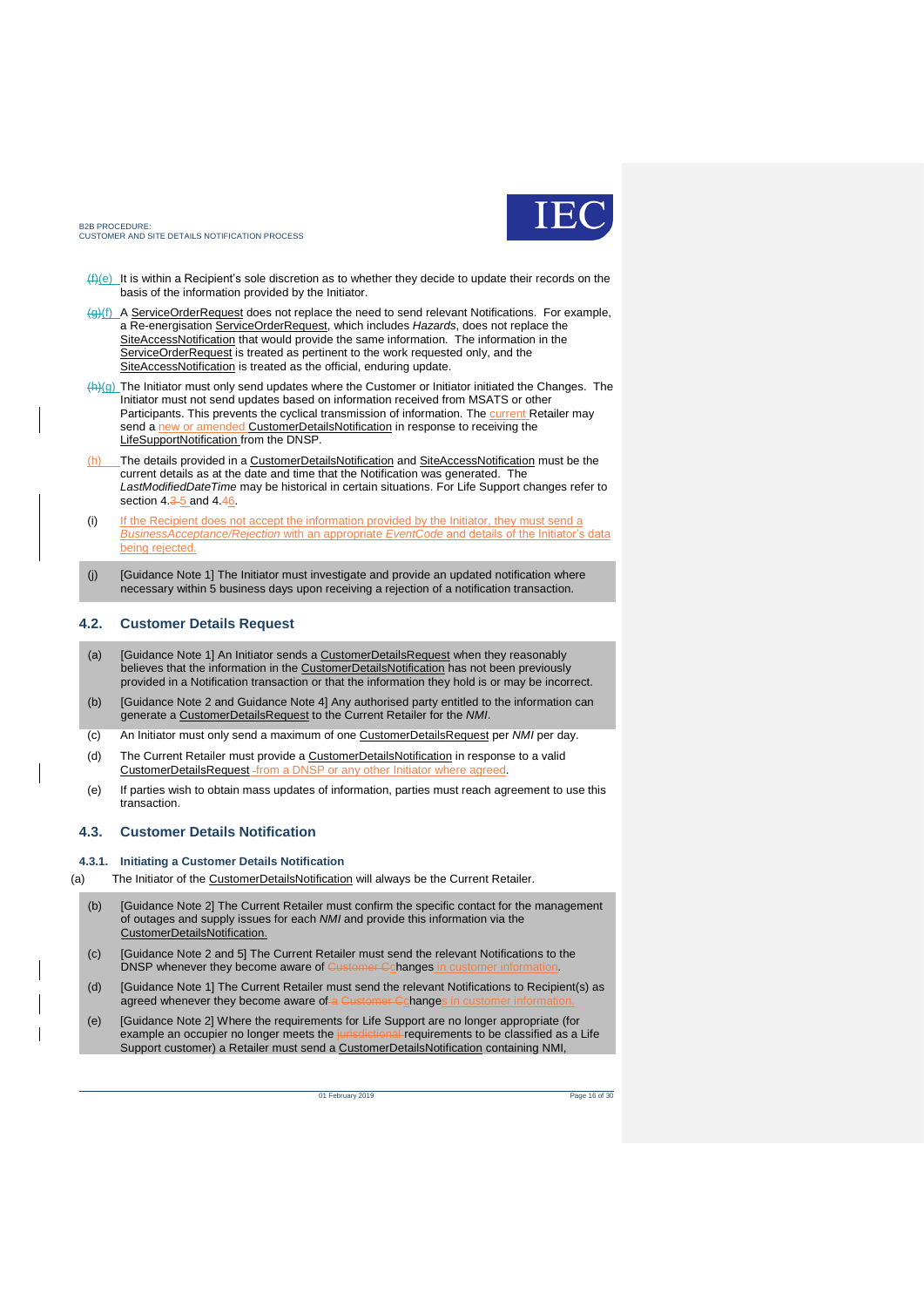

- $(f)(e)$  It is within a Recipient's sole discretion as to whether they decide to update their records on the basis of the information provided by the Initiator.
- (g)(f) A ServiceOrderRequest does not replace the need to send relevant Notifications. For example, a Re-energisation ServiceOrderRequest, which includes *Hazards*, does not replace the SiteAccessNotification that would provide the same information. The information in the ServiceOrderRequest is treated as pertinent to the work requested only, and the SiteAccessNotification is treated as the official, enduring update.
- $(h)(g)$  The Initiator must only send updates where the Customer or Initiator initiated the Changes. The Initiator must not send updates based on information received from MSATS or other Participants. This prevents the cyclical transmission of information. The **current** Retailer may send a new or amended CustomerDetailsNotification in response to receiving the LifeSupportNotification from the DNSP.
- The details provided in a CustomerDetailsNotification and SiteAccessNotification must be the current details as at the date and time that the Notification was generated. The *LastModifiedDateTime* may be historical in certain situations. For Life Support changes refer to section  $4.\overline{35}$  and  $4.\overline{46}$ .
- (i) If the Recipient does not accept the information provided by the Initiator, they must send a *BusinessAcceptance/Rejection* with an appropriate *EventCode* and details of the Initiator's data being rejected.
- (j) [Guidance Note 1] The Initiator must investigate and provide an updated notification where necessary within 5 business days upon receiving a rejection of a notification transaction.

#### <span id="page-15-0"></span>**4.2. Customer Details Request**

- (a) [Guidance Note 1] An Initiator sends a CustomerDetailsRequest when they reasonably believes that the information in the CustomerDetailsNotification has not been previously provided in a Notification transaction or that the information they hold is or may be incorrect.
- (b) [Guidance Note 2 and Guidance Note 4] Any authorised party entitled to the information can generate a CustomerDetailsRequest to the Current Retailer for the *NMI*.
- (c) An Initiator must only send a maximum of one CustomerDetailsRequest per *NMI* per day.
- (d) The Current Retailer must provide a CustomerDetailsNotification in response to a valid CustomerDetailsRequest -from a DNSP or any other Initiator where agreed
- (e) If parties wish to obtain mass updates of information, parties must reach agreement to use this transaction.

#### <span id="page-15-1"></span>**4.3. Customer Details Notification**

#### **4.3.1. Initiating a Customer Details Notification**

- (a) The Initiator of the CustomerDetailsNotification will always be the Current Retailer.
	- (b) [Guidance Note 2] The Current Retailer must confirm the specific contact for the management of outages and supply issues for each *NMI* and provide this information via the CustomerDetailsNotification.
	- (c) [Guidance Note 2 and 5] The Current Retailer must send the relevant Notifications to the DNSP whenever they become aware of Customer Cchanges in
	- (d) [Guidance Note 1] The Current Retailer must send the relevant Notifications to Recipient(s) as agreed whenever they become aware of a Customer Cchanges
	- (e) [Guidance Note 2] Where the requirements for Life Support are no longer appropriate (for example an occupier no longer meets the  $\mu$ Support customer) a Retailer must send a CustomerDetailsNotification containing NMI,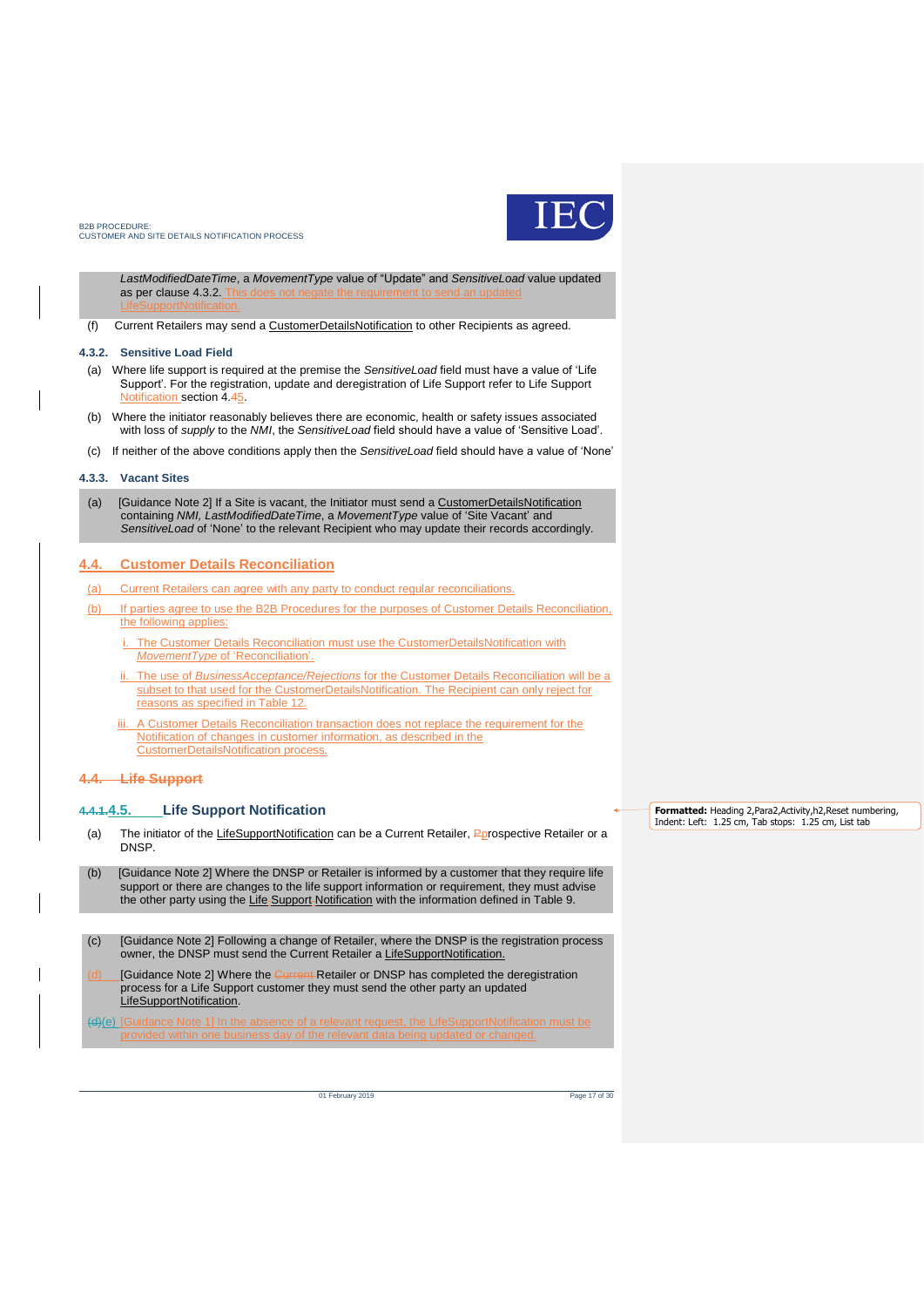

*LastModifiedDateTime*, a *MovementType* value of "Update" and *SensitiveLoad* value updated as per clause 4.3.2.

(f) Current Retailers may send a CustomerDetailsNotification to other Recipients as agreed.

#### **4.3.2. Sensitive Load Field**

- (a) Where life support is required at the premise the *SensitiveLoad* field must have a value of 'Life Support'. For the registration, update and deregistration of Life Support refer to Life Support Notification section 4.45.
- (b) Where the initiator reasonably believes there are economic, health or safety issues associated with loss of *supply* to the *NMI*, the *SensitiveLoad* field should have a value of 'Sensitive Load'.
- (c) If neither of the above conditions apply then the *SensitiveLoad* field should have a value of 'None'

#### **4.3.3. Vacant Sites**

(a) [Guidance Note 2] If a Site is vacant, the Initiator must send a CustomerDetailsNotification containing *NMI, LastModifiedDateTime*, a *MovementType* value of 'Site Vacant' and *SensitiveLoad* of 'None' to the relevant Recipient who may update their records accordingly.

#### <span id="page-16-0"></span>**4.4. Customer Details Reconciliation**

- (a) Current Retailers can agree with any party to conduct regular reconciliations.
- (b) If parties agree to use the B2B Procedures for the purposes of Customer Details Reconciliation, the following applies:
	- i. The Customer Details Reconciliation must use the CustomerDetailsNotification with *MovementType* of 'Reconciliation'.
	- ii. The use of *BusinessAcceptance/Rejections* for the Customer Details Reconciliation will be a subset to that used for the CustomerDetailsNotification. The Recipient can only reject for reasons as specified in Table 12.
	- A Customer Details Reconciliation transaction does not replace the requirement for the Notification of changes in customer information, as described in the CustomerDetailsNotification process.

#### **4.4. Life Support**

#### <span id="page-16-1"></span>**4.4.1.4.5. Life Support Notification**

- (a) The initiator of the LifeSupportNotification can be a Current Retailer, Pprospective Retailer or a DNSP.
- (b) [Guidance Note 2] Where the DNSP or Retailer is informed by a customer that they require life support or there are changes to the life support information or requirement, they must advise the other party using the Life-Support-Notification with the information defined in Table 9.
- (c) [Guidance Note 2] Following a change of Retailer, where the DNSP is the registration process owner, the DNSP must send the Current Retailer a LifeSupportNotification.
- [Guidance Note 2] Where the Current Retailer or DNSP has completed the deregistration process for a Life Support customer they must send the other party an updated LifeSupportNotification.

(d)(e) [Guidance Note 1] In the absence of a relevant request, the LifeSupportNotification must be

**Formatted:** Heading 2,Para2,Activity,h2,Reset numbering, Indent: Left: 1.25 cm, Tab stops: 1.25 cm, List tab

01 February 2019 Page 17 of 30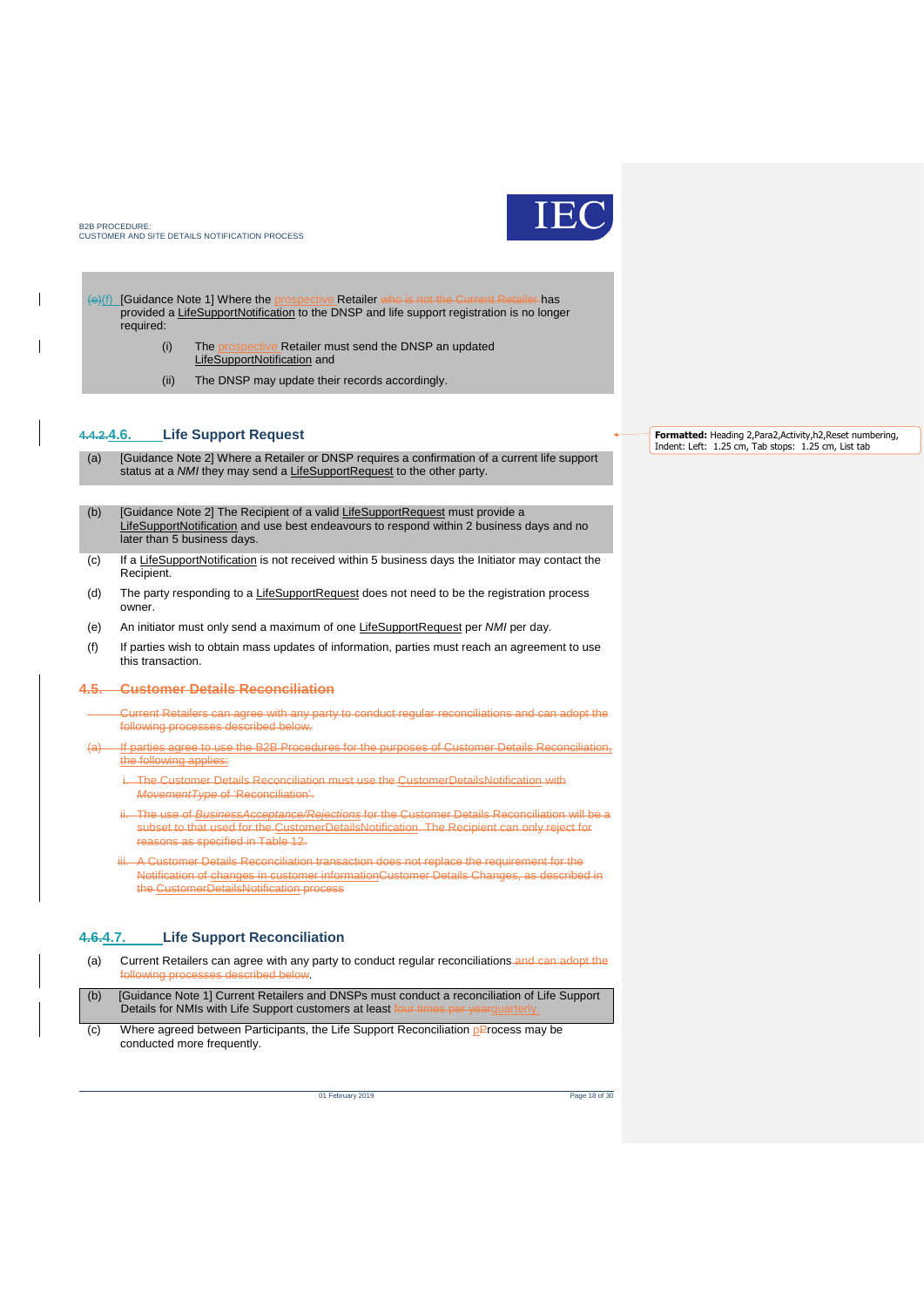

(e)(f) [Guidance Note 1] Where the prospective Retailer who is not the Current Retailer has provided a LifeSupportNotification to the DNSP and life support registration is no longer required:

- (i) The prospective Retailer must send the DNSP an updated
- LifeSupportNotification and
- (ii) The DNSP may update their records accordingly.

### <span id="page-17-0"></span>**4.4.2.4.6. Life Support Request**

- (a) [Guidance Note 2] Where a Retailer or DNSP requires a confirmation of a current life support status at a *NMI* they may send a LifeSupportRequest to the other party.
- (b) [Guidance Note 2] The Recipient of a valid LifeSupportRequest must provide a LifeSupportNotification and use best endeavours to respond within 2 business days and no later than 5 business days.
- (c) If a LifeSupportNotification is not received within 5 business days the Initiator may contact the Recipient.
- (d) The party responding to a LifeSupportRequest does not need to be the registration process owner.
- (e) An initiator must only send a maximum of one LifeSupportRequest per *NMI* per day.
- (f) If parties wish to obtain mass updates of information, parties must reach an agreement to use this transaction.

#### **4.5. Customer Details Reconciliation**

- Current Retailers can agree with any party to conduct regular reconciliations and can adopt the following processes described below.
- If parties agree to use the B2B Procedures for the purposes of Customer Details Reconciliation, the following applies:
	- i. The Customer Details Reconciliation must use the CustomerDetailsNotification with *MovementType* of 'Reconciliation'.
	- ii. The use of *BusinessAcceptance/Rejections* for the Customer Details Reconciliation will be a subset to that used for the CustomerDetailsNotification. The Recipient can only reject for reasons as specified in Table 12.
	- A Customer Details Reconciliation transaction does not replace the requirement for the Notification of changes in customer informationCustomer Details Changes, as described in the CustomerDetailsNotification process

#### <span id="page-17-1"></span>**4.6.4.7. Life Support Reconciliation**

- (a) Current Retailers can agree with any party to conduct regular reconciliations and can adopt the following processes described below. (b) [Guidance Note 1] Current Retailers and DNSPs must conduct a reconciliation of Life Support
- Details for NMIs with Life Support customers at least f (c) Where agreed between Participants, the Life Support Reconciliation  $p$ Process may be

conducted more frequently.

01 February 2019 Page 18 of 30

**Formatted:** Heading 2,Para2,Activity,h2,Reset numbering, Indent: Left: 1.25 cm, Tab stops: 1.25 cm, List tab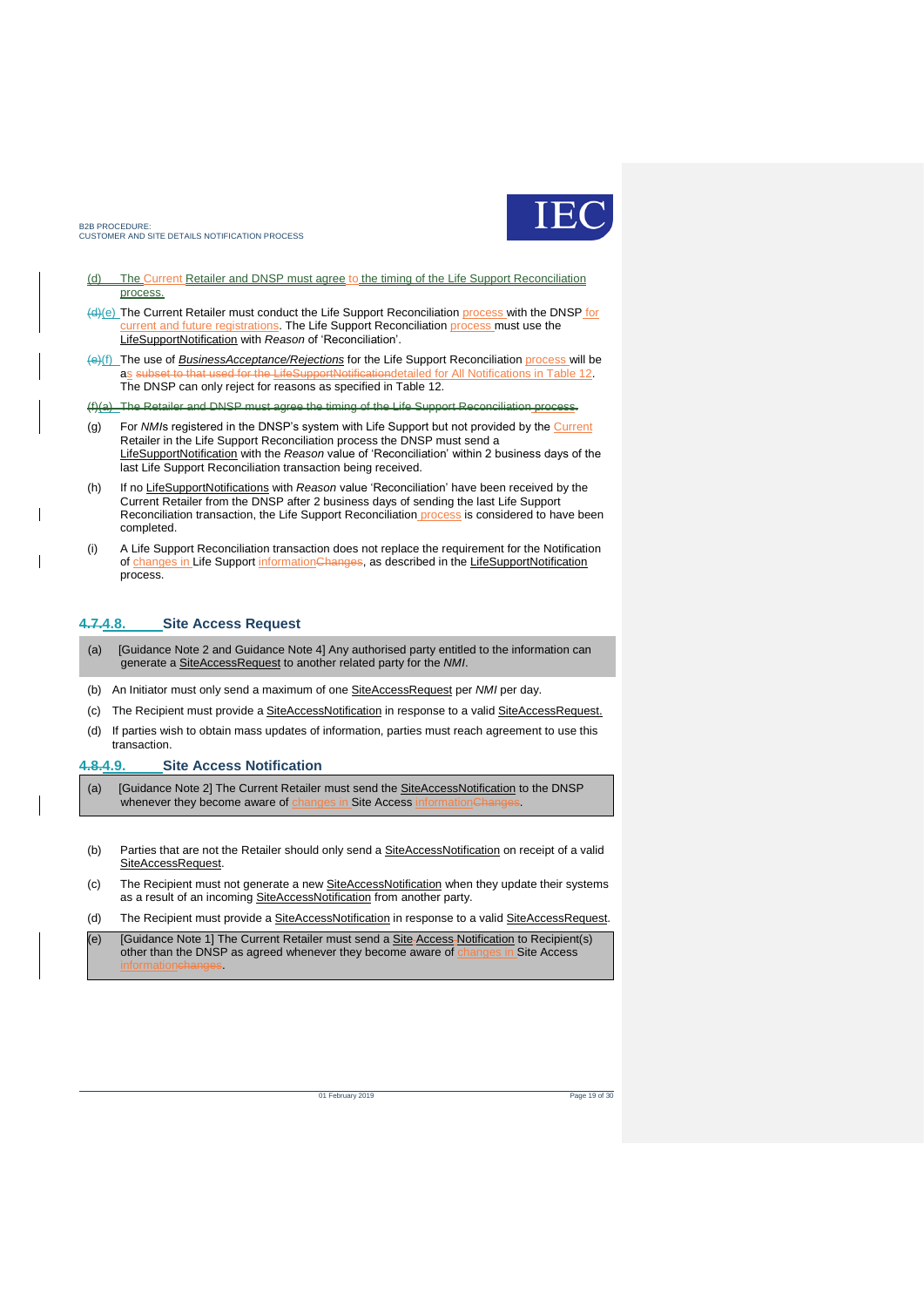

- (d) The Current Retailer and DNSP must agree to the timing of the Life Support Reconciliation process.
- (d)(e) The Current Retailer must conduct the Life Support Reconciliation process with the DNSP for current and future registrations. The Life Support Reconciliation process must use the LifeSupportNotification with *Reason* of 'Reconciliation'.
- (e)(f) The use of *BusinessAcceptance/Rejections* for the Life Support Reconciliation process will be o that used for the LifeSupportNotificationdetailed for All Notifications in Table 12. The DNSP can only reject for reasons as specified in Table 12.

(f)(a) The Retailer and DNSP must agree the timing of the Life Support Reconciliation process.

- (g) For *NMI*s registered in the DNSP's system with Life Support but not provided by the Current Retailer in the Life Support Reconciliation process the DNSP must send a LifeSupportNotification with the *Reason* value of 'Reconciliation' within 2 business days of the last Life Support Reconciliation transaction being received.
- (h) If no LifeSupportNotifications with *Reason* value 'Reconciliation' have been received by the Current Retailer from the DNSP after 2 business days of sending the last Life Support Reconciliation transaction, the Life Support Reconciliation process is considered to have been completed.
- (i) A Life Support Reconciliation transaction does not replace the requirement for the Notification of changes in Life Support informationChanges, as described in the LifeSupportNotification process.

#### <span id="page-18-0"></span>**4.7.4.8. Site Access Request**

- (a) [Guidance Note 2 and Guidance Note 4] Any authorised party entitled to the information can generate a SiteAccessRequest to another related party for the *NMI*.
- (b) An Initiator must only send a maximum of one SiteAccessRequest per *NMI* per day.
- (c) The Recipient must provide a SiteAccessNotification in response to a valid SiteAccessRequest.
- (d) If parties wish to obtain mass updates of information, parties must reach agreement to use this transaction.

#### <span id="page-18-1"></span>**4.8.4.9. Site Access Notification**

- (a) [Guidance Note 2] The Current Retailer must send the **SiteAccessNotification** to the DNSP whenever they become aware of changes in Site Access information Changes.
- (b) Parties that are not the Retailer should only send a **SiteAccessNotification** on receipt of a valid SiteAccessRequest.
- (c) The Recipient must not generate a new **SiteAccessNotification** when they update their systems as a result of an incoming SiteAccessNotification from another party.
- (d) The Recipient must provide a SiteAccessNotification in response to a valid SiteAccessRequest.

(e) [Guidance Note 1] The Current Retailer must send a **Site Access Notification** to Recipient(s) other than the DNSP as agreed whenever they become aware of *changes in* Site Access informationchanges.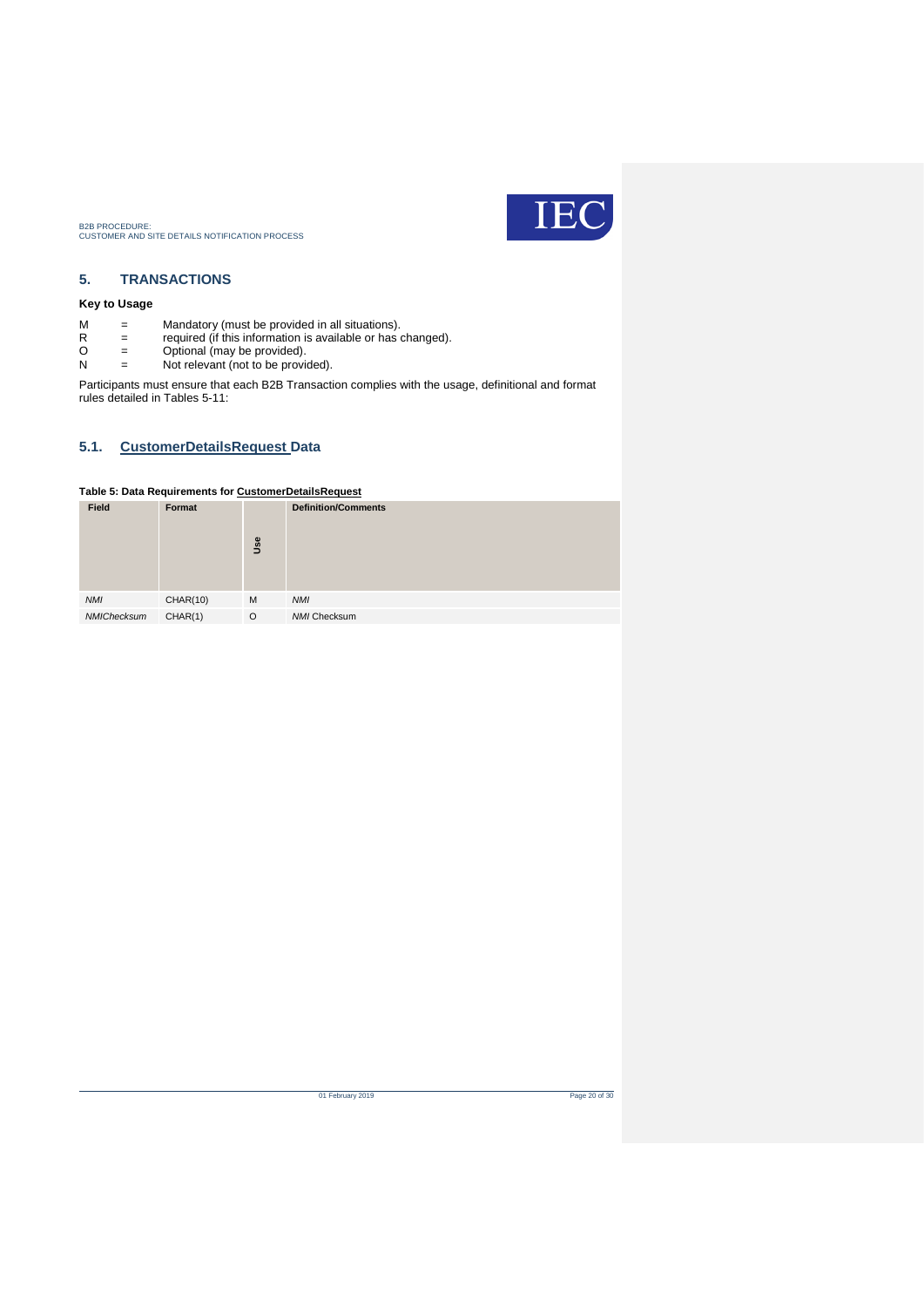

### <span id="page-19-0"></span>**5. TRANSACTIONS**

### **Key to Usage**

- M = Mandatory (must be provided in all situations).
- R = required (if this information is available or has changed).
- $R =$  required (if this information is<br>  $Q =$  Optional (may be provided).<br>  $Q =$  Not relevant (not to be provided).
- Not relevant (not to be provided).

Participants must ensure that each B2B Transaction complies with the usage, definitional and format rules detailed in Tables 5-11:

### <span id="page-19-1"></span>**5.1. CustomerDetailsRequest Data**

### <span id="page-19-2"></span>**Table 5: Data Requirements for CustomerDetailsRequest**

| Field       | Format          | Use     | <b>Definition/Comments</b> |
|-------------|-----------------|---------|----------------------------|
| <b>NMI</b>  | <b>CHAR(10)</b> | M       | <b>NMI</b>                 |
| NMIChecksum | CHAR(1)         | $\circ$ | NMI Checksum               |

of February 2019 Page 20 of 30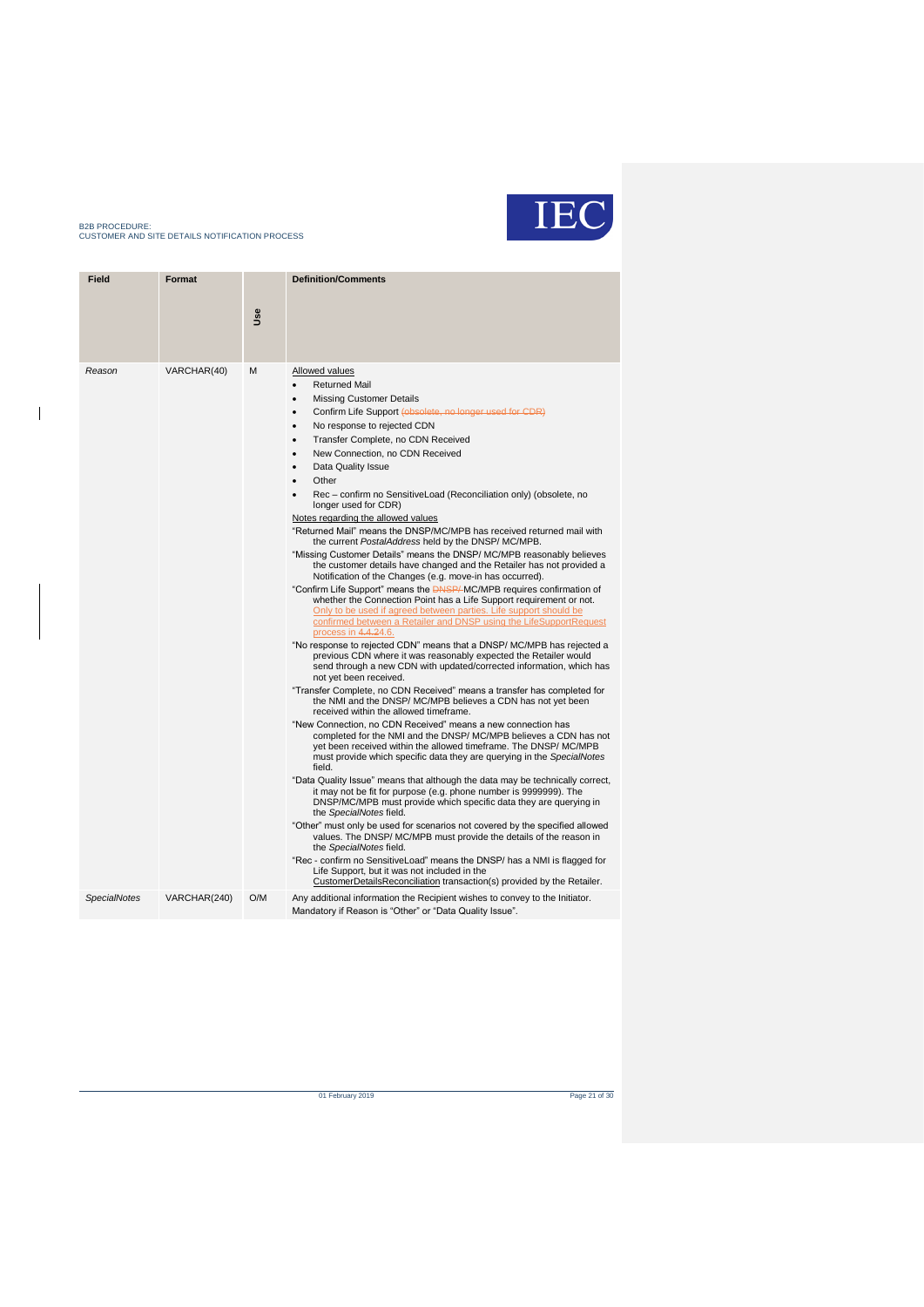

 $\overline{1}$ 

| <b>Field</b>        | Format       |            | <b>Definition/Comments</b>                                                                                                                                                                                                                                                                                                                                                                                                                                                                                                                                                                                                                                                                                                                                                                                                                                                                                                                                                                                                                                                                                                                                                                                                                                                                                                                                                                                                                                                                                                                                                                                                                                                                                                                                                                                                                                                                                                                                                                                                                                                                                                                                                                                                                                                                                                                                                                                                                                                                                                                                                      |
|---------------------|--------------|------------|---------------------------------------------------------------------------------------------------------------------------------------------------------------------------------------------------------------------------------------------------------------------------------------------------------------------------------------------------------------------------------------------------------------------------------------------------------------------------------------------------------------------------------------------------------------------------------------------------------------------------------------------------------------------------------------------------------------------------------------------------------------------------------------------------------------------------------------------------------------------------------------------------------------------------------------------------------------------------------------------------------------------------------------------------------------------------------------------------------------------------------------------------------------------------------------------------------------------------------------------------------------------------------------------------------------------------------------------------------------------------------------------------------------------------------------------------------------------------------------------------------------------------------------------------------------------------------------------------------------------------------------------------------------------------------------------------------------------------------------------------------------------------------------------------------------------------------------------------------------------------------------------------------------------------------------------------------------------------------------------------------------------------------------------------------------------------------------------------------------------------------------------------------------------------------------------------------------------------------------------------------------------------------------------------------------------------------------------------------------------------------------------------------------------------------------------------------------------------------------------------------------------------------------------------------------------------------|
|                     |              | <b>Jse</b> |                                                                                                                                                                                                                                                                                                                                                                                                                                                                                                                                                                                                                                                                                                                                                                                                                                                                                                                                                                                                                                                                                                                                                                                                                                                                                                                                                                                                                                                                                                                                                                                                                                                                                                                                                                                                                                                                                                                                                                                                                                                                                                                                                                                                                                                                                                                                                                                                                                                                                                                                                                                 |
| Reason              | VARCHAR(40)  | м          | Allowed values<br><b>Returned Mail</b><br>$\bullet$<br><b>Missing Customer Details</b><br>$\bullet$<br>Confirm Life Support (obsolete, no longer used for CDR)<br>$\bullet$<br>No response to rejected CDN<br>$\bullet$<br>Transfer Complete, no CDN Received<br>$\bullet$<br>New Connection, no CDN Received<br>$\bullet$<br>Data Quality Issue<br>$\bullet$<br>Other<br>$\bullet$<br>Rec - confirm no SensitiveLoad (Reconciliation only) (obsolete, no<br>longer used for CDR)<br>Notes regarding the allowed values<br>"Returned Mail" means the DNSP/MC/MPB has received returned mail with<br>the current PostalAddress held by the DNSP/MC/MPB.<br>"Missing Customer Details" means the DNSP/ MC/MPB reasonably believes<br>the customer details have changed and the Retailer has not provided a<br>Notification of the Changes (e.g. move-in has occurred).<br>"Confirm Life Support" means the <b>DASP/-MC/MPB</b> requires confirmation of<br>whether the Connection Point has a Life Support requirement or not.<br>Only to be used if agreed between parties. Life support should be<br>confirmed between a Retailer and DNSP using the LifeSupportRequest<br>process in 4.4.24.6.<br>"No response to rejected CDN" means that a DNSP/ MC/MPB has rejected a<br>previous CDN where it was reasonably expected the Retailer would<br>send through a new CDN with updated/corrected information, which has<br>not yet been received.<br>"Transfer Complete, no CDN Received" means a transfer has completed for<br>the NMI and the DNSP/ MC/MPB believes a CDN has not yet been<br>received within the allowed timeframe.<br>"New Connection, no CDN Received" means a new connection has<br>completed for the NMI and the DNSP/ MC/MPB believes a CDN has not<br>yet been received within the allowed timeframe. The DNSP/ MC/MPB<br>must provide which specific data they are querying in the SpecialNotes<br>field.<br>"Data Quality Issue" means that although the data may be technically correct,<br>it may not be fit for purpose (e.g. phone number is 9999999). The<br>DNSP/MC/MPB must provide which specific data they are querying in<br>the SpecialNotes field.<br>"Other" must only be used for scenarios not covered by the specified allowed<br>values. The DNSP/ MC/MPB must provide the details of the reason in<br>the SpecialNotes field.<br>"Rec - confirm no SensitiveLoad" means the DNSP/ has a NMI is flagged for<br>Life Support, but it was not included in the<br>CustomerDetailsReconciliation transaction(s) provided by the Retailer. |
| <b>SpecialNotes</b> | VARCHAR(240) | O/M        | Any additional information the Recipient wishes to convey to the Initiator.<br>Mandatory if Reason is "Other" or "Data Quality Issue".                                                                                                                                                                                                                                                                                                                                                                                                                                                                                                                                                                                                                                                                                                                                                                                                                                                                                                                                                                                                                                                                                                                                                                                                                                                                                                                                                                                                                                                                                                                                                                                                                                                                                                                                                                                                                                                                                                                                                                                                                                                                                                                                                                                                                                                                                                                                                                                                                                          |

of February 2019 Page 21 of 30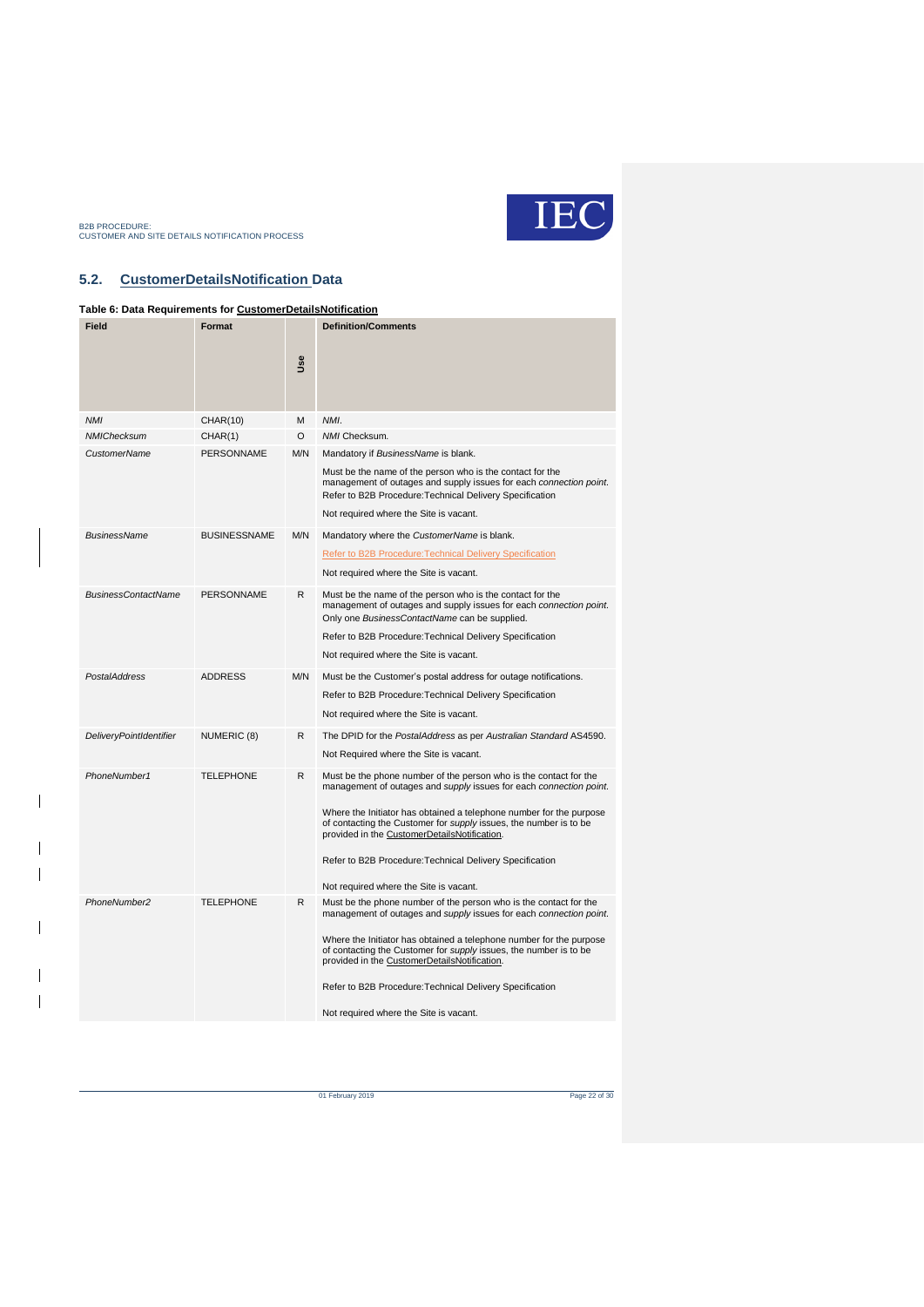

 $\overline{\phantom{a}}$ 

 $\overline{\phantom{a}}$ 

 $\overline{\phantom{a}}$ 

 $\overline{\phantom{a}}$  $\overline{\phantom{a}}$ 

### <span id="page-21-0"></span>**5.2. CustomerDetailsNotification Data**

### <span id="page-21-1"></span>**Table 6: Data Requirements for CustomerDetailsNotification**

| Field                          | Format              | <b>Use</b> | <b>Definition/Comments</b>                                                                                                                                                                                                                                                                                                          |
|--------------------------------|---------------------|------------|-------------------------------------------------------------------------------------------------------------------------------------------------------------------------------------------------------------------------------------------------------------------------------------------------------------------------------------|
| <b>NMI</b>                     | CHAR(10)            | M          | NMI.                                                                                                                                                                                                                                                                                                                                |
| <b>NMIChecksum</b>             | CHAR(1)             | O          | NMI Checksum.                                                                                                                                                                                                                                                                                                                       |
| <b>CustomerName</b>            | <b>PERSONNAME</b>   | M/N        | Mandatory if BusinessName is blank.<br>Must be the name of the person who is the contact for the<br>management of outages and supply issues for each connection point.<br>Refer to B2B Procedure: Technical Delivery Specification<br>Not required where the Site is vacant.                                                        |
|                                |                     |            |                                                                                                                                                                                                                                                                                                                                     |
| <b>BusinessName</b>            | <b>BUSINESSNAME</b> | M/N        | Mandatory where the CustomerName is blank.                                                                                                                                                                                                                                                                                          |
|                                |                     |            | <b>Refer to B2B Procedure: Technical Delivery Specification</b>                                                                                                                                                                                                                                                                     |
|                                |                     |            | Not required where the Site is vacant.                                                                                                                                                                                                                                                                                              |
| <b>BusinessContactName</b>     | <b>PERSONNAME</b>   | R          | Must be the name of the person who is the contact for the<br>management of outages and supply issues for each connection point.<br>Only one BusinessContactName can be supplied.                                                                                                                                                    |
|                                |                     |            | Refer to B2B Procedure: Technical Delivery Specification                                                                                                                                                                                                                                                                            |
|                                |                     |            | Not required where the Site is vacant.                                                                                                                                                                                                                                                                                              |
| <b>PostalAddress</b>           | <b>ADDRESS</b>      | M/N        | Must be the Customer's postal address for outage notifications.                                                                                                                                                                                                                                                                     |
|                                |                     |            | Refer to B2B Procedure: Technical Delivery Specification                                                                                                                                                                                                                                                                            |
|                                |                     |            | Not required where the Site is vacant.                                                                                                                                                                                                                                                                                              |
| <b>DeliveryPointIdentifier</b> | NUMERIC (8)         | R          | The DPID for the PostalAddress as per Australian Standard AS4590.                                                                                                                                                                                                                                                                   |
|                                |                     |            | Not Required where the Site is vacant.                                                                                                                                                                                                                                                                                              |
| PhoneNumber1                   | <b>TELEPHONE</b>    | R.         | Must be the phone number of the person who is the contact for the<br>management of outages and supply issues for each connection point.                                                                                                                                                                                             |
|                                |                     |            | Where the Initiator has obtained a telephone number for the purpose<br>of contacting the Customer for supply issues, the number is to be<br>provided in the CustomerDetailsNotification.                                                                                                                                            |
|                                |                     |            | Refer to B2B Procedure: Technical Delivery Specification                                                                                                                                                                                                                                                                            |
|                                |                     |            | Not required where the Site is vacant.                                                                                                                                                                                                                                                                                              |
| PhoneNumber2                   | <b>TELEPHONE</b>    | R.         | Must be the phone number of the person who is the contact for the<br>management of outages and supply issues for each connection point.<br>Where the Initiator has obtained a telephone number for the purpose<br>of contacting the Customer for supply issues, the number is to be<br>provided in the CustomerDetailsNotification. |
|                                |                     |            | Refer to B2B Procedure: Technical Delivery Specification                                                                                                                                                                                                                                                                            |
|                                |                     |            | Not required where the Site is vacant.                                                                                                                                                                                                                                                                                              |

of February 2019 Page 22 of 30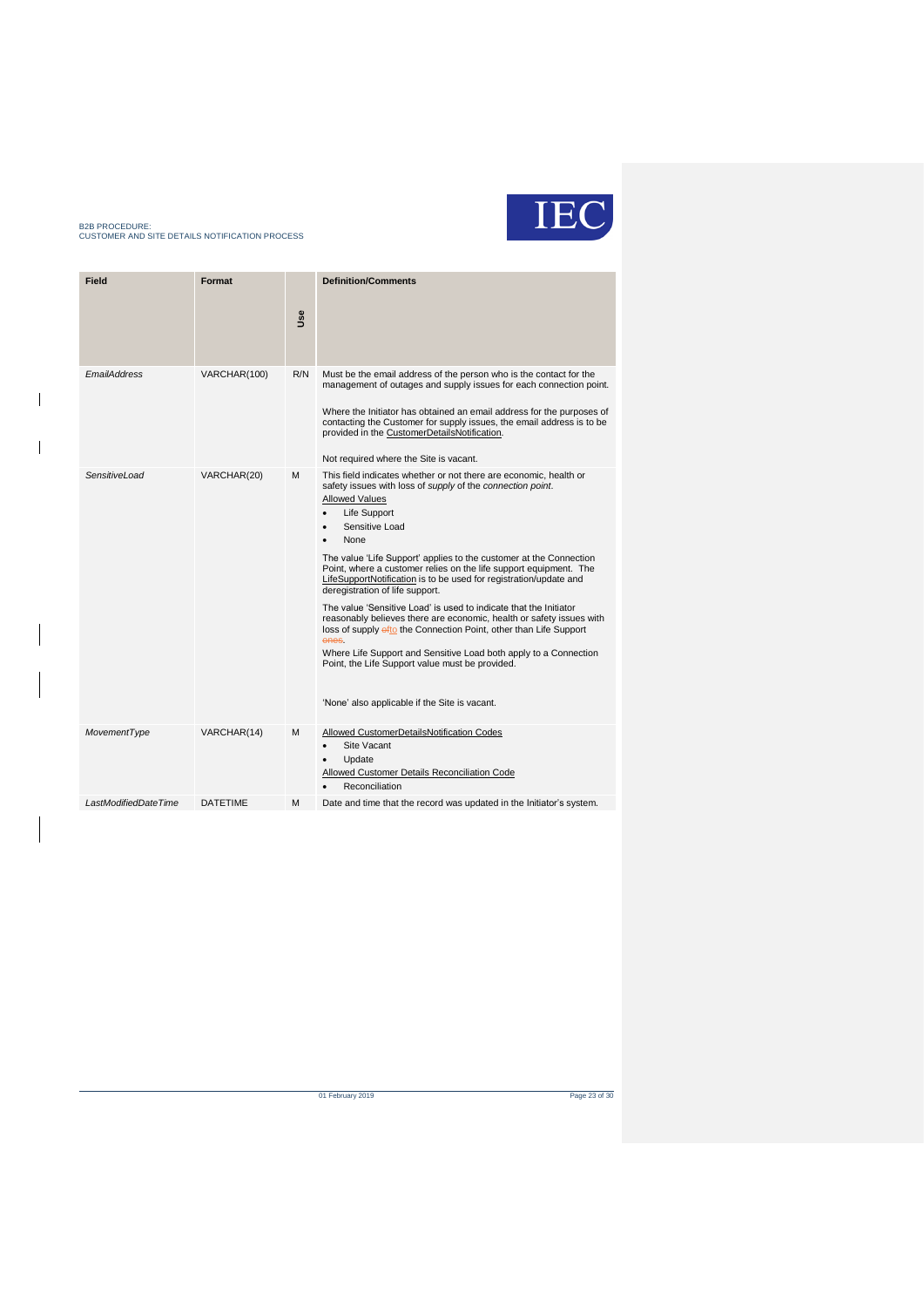

 $\overline{\phantom{a}}$ 

 $\overline{\phantom{a}}$ 

| Field                      | Format          | <b>Jse</b> | <b>Definition/Comments</b>                                                                                                                                                                                                                                                                                                                                                                                                                                                                                                                                                                                                                                                                                                                                                                                                                                                                      |
|----------------------------|-----------------|------------|-------------------------------------------------------------------------------------------------------------------------------------------------------------------------------------------------------------------------------------------------------------------------------------------------------------------------------------------------------------------------------------------------------------------------------------------------------------------------------------------------------------------------------------------------------------------------------------------------------------------------------------------------------------------------------------------------------------------------------------------------------------------------------------------------------------------------------------------------------------------------------------------------|
| <b><i>EmailAddress</i></b> | VARCHAR(100)    | R/N        | Must be the email address of the person who is the contact for the<br>management of outages and supply issues for each connection point.<br>Where the Initiator has obtained an email address for the purposes of<br>contacting the Customer for supply issues, the email address is to be<br>provided in the CustomerDetailsNotification.<br>Not required where the Site is vacant.                                                                                                                                                                                                                                                                                                                                                                                                                                                                                                            |
| <b>SensitiveLoad</b>       | VARCHAR(20)     | м          | This field indicates whether or not there are economic, health or<br>safety issues with loss of supply of the connection point.<br><b>Allowed Values</b><br>Life Support<br>$\bullet$<br>Sensitive Load<br>$\bullet$<br>None<br>$\bullet$<br>The value 'Life Support' applies to the customer at the Connection<br>Point, where a customer relies on the life support equipment. The<br>LifeSupportNotification is to be used for registration/update and<br>deregistration of life support.<br>The value 'Sensitive Load' is used to indicate that the Initiator<br>reasonably believes there are economic, health or safety issues with<br>loss of supply ofto the Connection Point, other than Life Support<br>ones.<br>Where Life Support and Sensitive Load both apply to a Connection<br>Point, the Life Support value must be provided.<br>'None' also applicable if the Site is vacant. |
| MovementType               | VARCHAR(14)     | м          | Allowed CustomerDetailsNotification Codes<br>Site Vacant<br>$\bullet$<br>Update<br>$\bullet$<br><b>Allowed Customer Details Reconciliation Code</b><br>Reconciliation<br>$\bullet$                                                                                                                                                                                                                                                                                                                                                                                                                                                                                                                                                                                                                                                                                                              |
| LastModifiedDateTime       | <b>DATETIME</b> | м          | Date and time that the record was updated in the Initiator's system.                                                                                                                                                                                                                                                                                                                                                                                                                                                                                                                                                                                                                                                                                                                                                                                                                            |

of February 2019 Page 23 of 30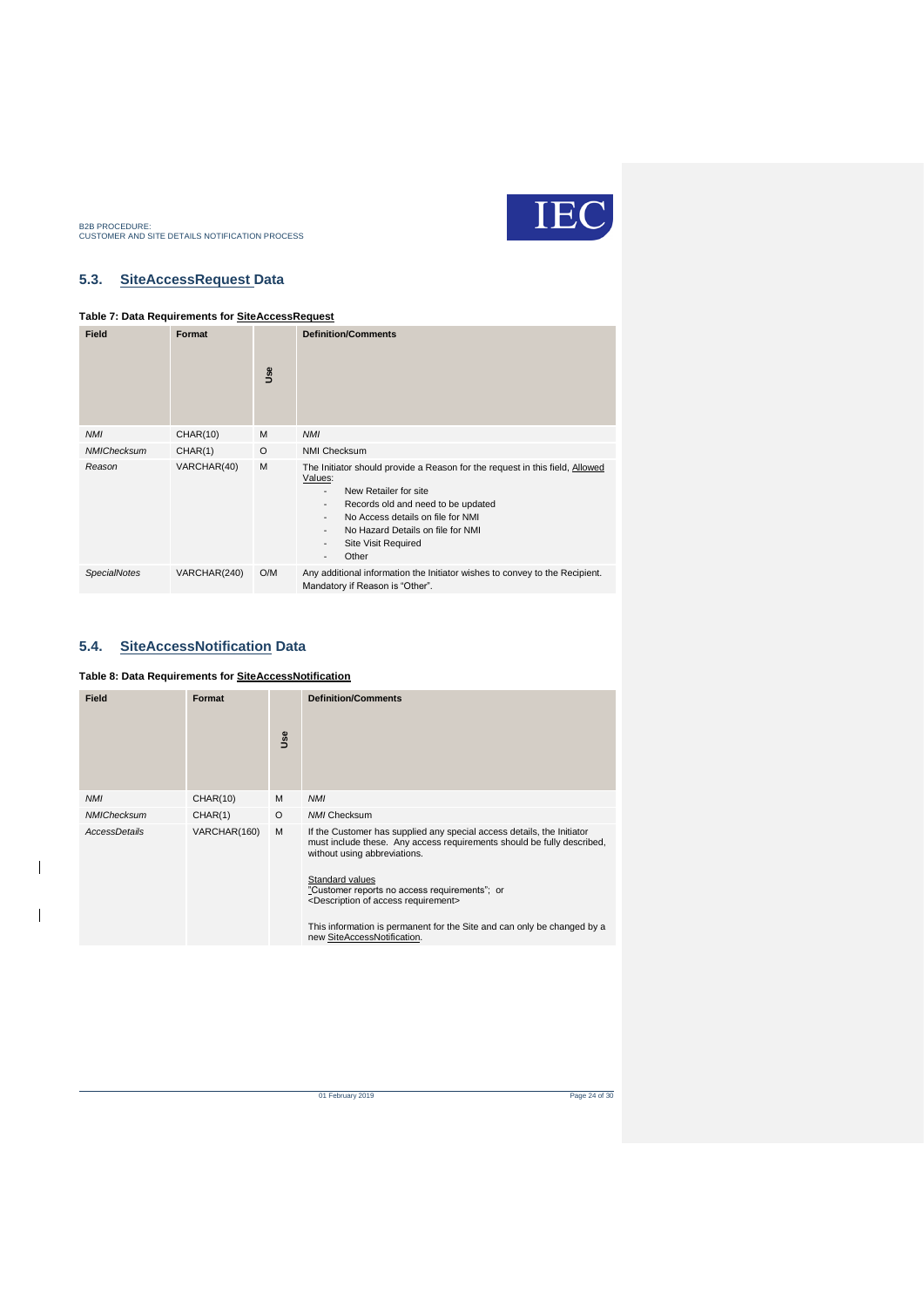

### <span id="page-23-0"></span>**5.3. SiteAccessRequest Data**

### <span id="page-23-2"></span>**Table 7: Data Requirements for SiteAccessRequest**

| <b>Field</b>        | Format          | Use | <b>Definition/Comments</b>                                                                                                                                                                                                                                                                                                                                                                                   |
|---------------------|-----------------|-----|--------------------------------------------------------------------------------------------------------------------------------------------------------------------------------------------------------------------------------------------------------------------------------------------------------------------------------------------------------------------------------------------------------------|
| <b>NMI</b>          | <b>CHAR(10)</b> | M   | <b>NMI</b>                                                                                                                                                                                                                                                                                                                                                                                                   |
| <b>NMIChecksum</b>  | CHAR(1)         | O   | <b>NMI Checksum</b>                                                                                                                                                                                                                                                                                                                                                                                          |
| Reason              | VARCHAR(40)     | M   | The Initiator should provide a Reason for the request in this field, Allowed<br>Values:<br>New Retailer for site<br>$\overline{\phantom{0}}$<br>Records old and need to be updated<br>$\overline{\phantom{0}}$<br>No Access details on file for NMI<br>$\overline{\phantom{0}}$<br>No Hazard Details on file for NMI<br>Site Visit Required<br>$\overline{\phantom{a}}$<br>Other<br>$\overline{\phantom{0}}$ |
| <b>SpecialNotes</b> | VARCHAR(240)    | O/M | Any additional information the Initiator wishes to convey to the Recipient.<br>Mandatory if Reason is "Other".                                                                                                                                                                                                                                                                                               |

### <span id="page-23-1"></span>**5.4. SiteAccessNotification Data**

 $\overline{\phantom{a}}$ 

 $\overline{1}$ 

#### <span id="page-23-3"></span>**Table 8: Data Requirements for SiteAccessNotification**

| Field              | Format          | <b>Se</b> | <b>Definition/Comments</b>                                                                                                                                                                                                                                                                                                                                                                                                     |
|--------------------|-----------------|-----------|--------------------------------------------------------------------------------------------------------------------------------------------------------------------------------------------------------------------------------------------------------------------------------------------------------------------------------------------------------------------------------------------------------------------------------|
| <b>NMI</b>         | <b>CHAR(10)</b> | M         | <b>NMI</b>                                                                                                                                                                                                                                                                                                                                                                                                                     |
| <b>NMIChecksum</b> | CHAR(1)         | $\circ$   | <b>NMI Checksum</b>                                                                                                                                                                                                                                                                                                                                                                                                            |
| AccessDetails      | VARCHAR(160)    | M         | If the Customer has supplied any special access details, the Initiator<br>must include these. Any access requirements should be fully described.<br>without using abbreviations.<br>Standard values<br>"Customer reports no access requirements"; or<br><description access="" of="" requirement=""><br/>This information is permanent for the Site and can only be changed by a<br/>new SiteAccessNotification.</description> |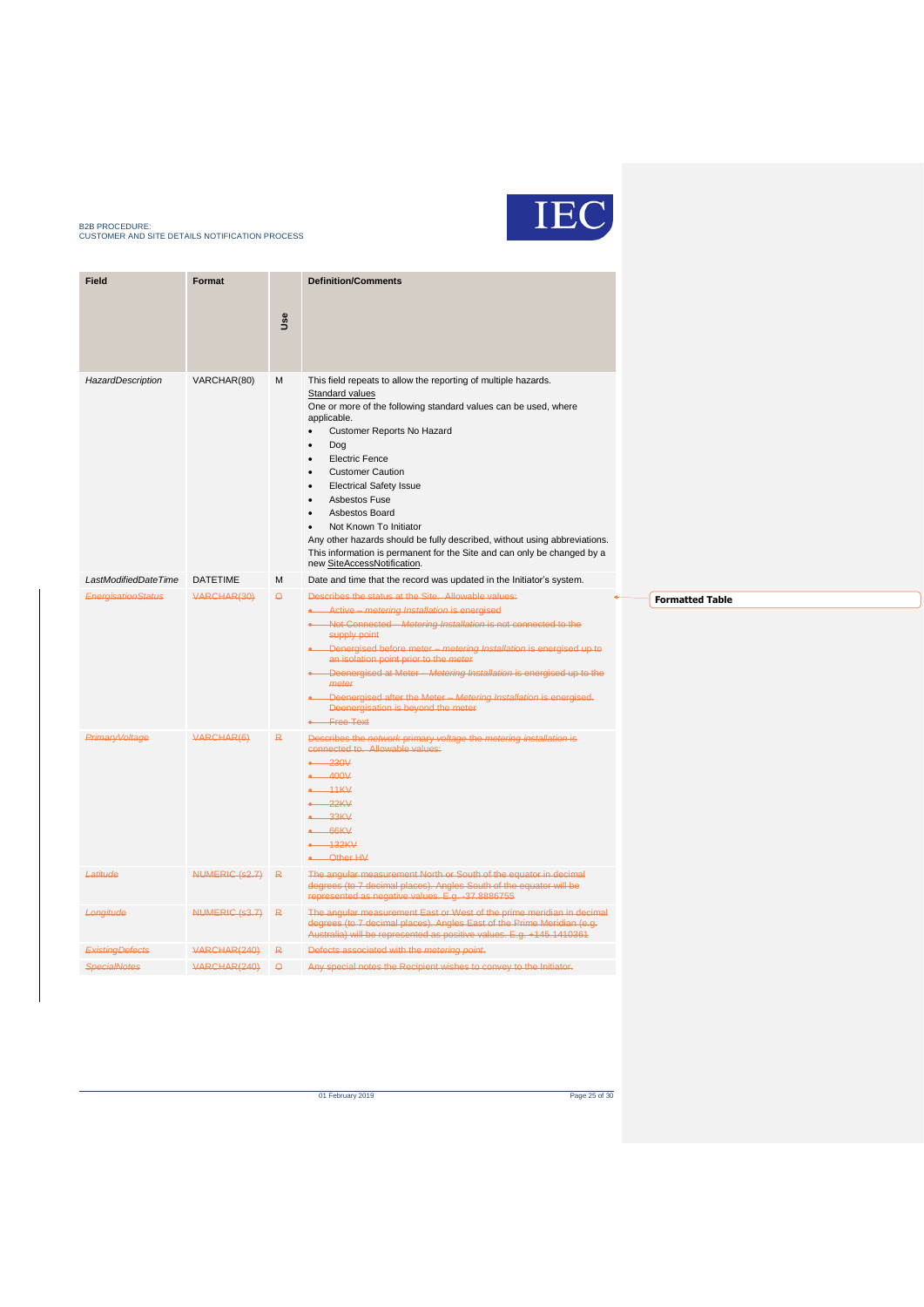

| <b>Field</b>              | <b>Format</b>   | <b>Use</b> | <b>Definition/Comments</b>                                                                                                                                                                                                                                                                                                                                                                                                                                                                                                                                                    |
|---------------------------|-----------------|------------|-------------------------------------------------------------------------------------------------------------------------------------------------------------------------------------------------------------------------------------------------------------------------------------------------------------------------------------------------------------------------------------------------------------------------------------------------------------------------------------------------------------------------------------------------------------------------------|
| HazardDescription         | VARCHAR(80)     | М          | This field repeats to allow the reporting of multiple hazards.<br><b>Standard values</b><br>One or more of the following standard values can be used, where<br>applicable.<br>Customer Reports No Hazard<br>$\bullet$<br>Dog<br><b>Electric Fence</b><br><b>Customer Caution</b><br><b>Electrical Safety Issue</b><br><b>Asbestos Fuse</b><br>Asbestos Board<br>Not Known To Initiator<br>Any other hazards should be fully described, without using abbreviations.<br>This information is permanent for the Site and can only be changed by a<br>new SiteAccessNotification. |
| LastModifiedDateTime      | <b>DATETIME</b> | M          | Date and time that the record was updated in the Initiator's system.                                                                                                                                                                                                                                                                                                                                                                                                                                                                                                          |
| <b>EnergisationStatus</b> | VARCHAR(30)     | $\Theta$   | Describes the status at the Site. Allowable values:<br>• Active - metering Installation is energised<br>Not Connected - Metering Installation is not connected to the<br>supply point<br>• Denergised before meter - metering Installation is energised up to<br>an isolation point prior to the meter<br>Deenergised at Meter - Metering Installation is energised up to the<br>meter<br>• Deenergised after the Meter - Metering Installation is energised.<br>Deenergisation is beyond the meter<br>• Free Text                                                            |
| Primary Voltage           | VARCHAR(6)      | R          | Describes the network primary voltage the metering installation is<br>connected to. Allowable values:<br>$-230V$<br>$-400V$<br>$-11KV$<br>$-22KV$<br>$-33KV$<br>$-66KV$<br>$-132KV$<br>-Other HV                                                                                                                                                                                                                                                                                                                                                                              |
| Latitude                  | NUMERIC (s2.7)  | R          | The angular measurement North or South of the equator in decimal<br>degrees (to 7 decimal places). Angles South of the equator will be<br>represented as negative values. E.g. -37.8886755                                                                                                                                                                                                                                                                                                                                                                                    |
| Longitude                 | NUMERIC (s3.7)  | R          | The angular measurement East or West of the prime meridian in decimal<br>degrees (to 7 decimal places). Angles East of the Prime Meridian (e.g.<br>Australia) will be represented as positive values. E.g. +145.1410361                                                                                                                                                                                                                                                                                                                                                       |
| <b>ExistingDefects</b>    | VARCHAR(240)    | R          | Defects associated with the metering point.                                                                                                                                                                                                                                                                                                                                                                                                                                                                                                                                   |
| <b>SpecialNotes</b>       | VARCHAR(240)    | $\Omega$   | Any special notes the Recipient wishes to convey to the Initiator.                                                                                                                                                                                                                                                                                                                                                                                                                                                                                                            |

**Formatted Table**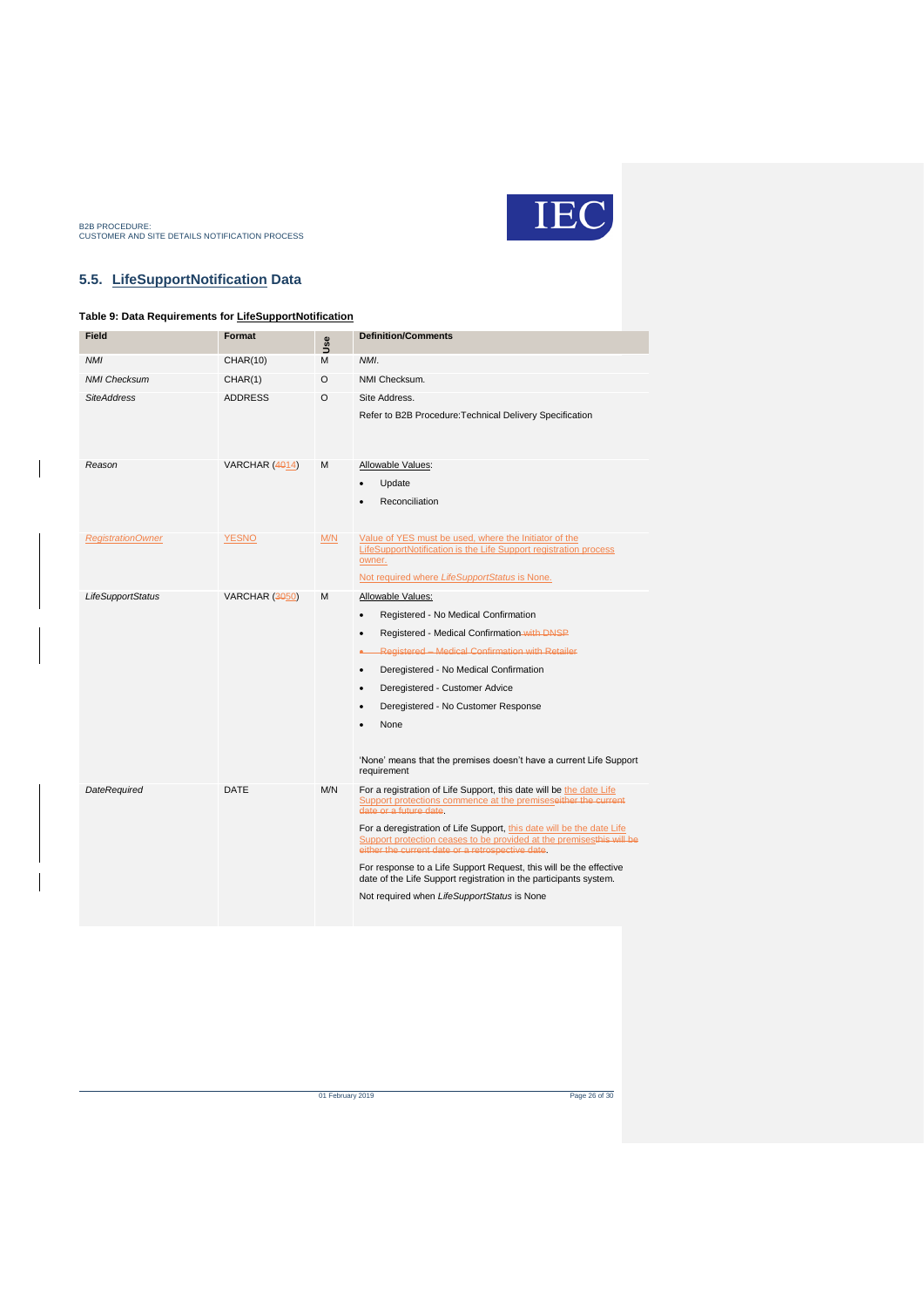

### <span id="page-25-0"></span>**5.5. LifeSupportNotification Data**

### <span id="page-25-1"></span>**Table 9: Data Requirements for LifeSupportNotification**

| <b>Field</b>             | Format                | <b>Use</b> | <b>Definition/Comments</b>                                                                                                                                                                                                                                                                                                                                                                                                                                                                                                                                     |
|--------------------------|-----------------------|------------|----------------------------------------------------------------------------------------------------------------------------------------------------------------------------------------------------------------------------------------------------------------------------------------------------------------------------------------------------------------------------------------------------------------------------------------------------------------------------------------------------------------------------------------------------------------|
| <b>NMI</b>               | CHAR(10)              | M          | NMI.                                                                                                                                                                                                                                                                                                                                                                                                                                                                                                                                                           |
| <b>NMI Checksum</b>      | CHAR(1)               | O          | NMI Checksum.                                                                                                                                                                                                                                                                                                                                                                                                                                                                                                                                                  |
| <b>SiteAddress</b>       | <b>ADDRESS</b>        | O          | Site Address.<br>Refer to B2B Procedure: Technical Delivery Specification                                                                                                                                                                                                                                                                                                                                                                                                                                                                                      |
| Reason                   | <b>VARCHAR (4014)</b> | м          | Allowable Values:<br>Update<br>Reconciliation                                                                                                                                                                                                                                                                                                                                                                                                                                                                                                                  |
| <b>RegistrationOwner</b> | <b>YESNO</b>          | M/N        | Value of YES must be used, where the Initiator of the<br>LifeSupportNotification is the Life Support registration process<br>owner.<br>Not required where LifeSupportStatus is None.                                                                                                                                                                                                                                                                                                                                                                           |
| <b>LifeSupportStatus</b> | VARCHAR (3050)        | M          | Allowable Values:<br>Registered - No Medical Confirmation<br>$\bullet$<br>Registered - Medical Confirmation with DNSP<br>Registered - Medical Confirmation with Retailer<br>Deregistered - No Medical Confirmation<br>$\bullet$<br>Deregistered - Customer Advice<br>$\bullet$<br>Deregistered - No Customer Response<br>None<br>'None' means that the premises doesn't have a current Life Support<br>requirement                                                                                                                                             |
| DateRequired             | DATE                  | M/N        | For a registration of Life Support, this date will be the date Life<br>Support protections commence at the premiseseither the current<br>date or a future date.<br>For a deregistration of Life Support, this date will be the date Life<br>Support protection ceases to be provided at the premisesthis will be<br>either the current date or a retrospective date.<br>For response to a Life Support Request, this will be the effective<br>date of the Life Support registration in the participants system.<br>Not required when LifeSupportStatus is None |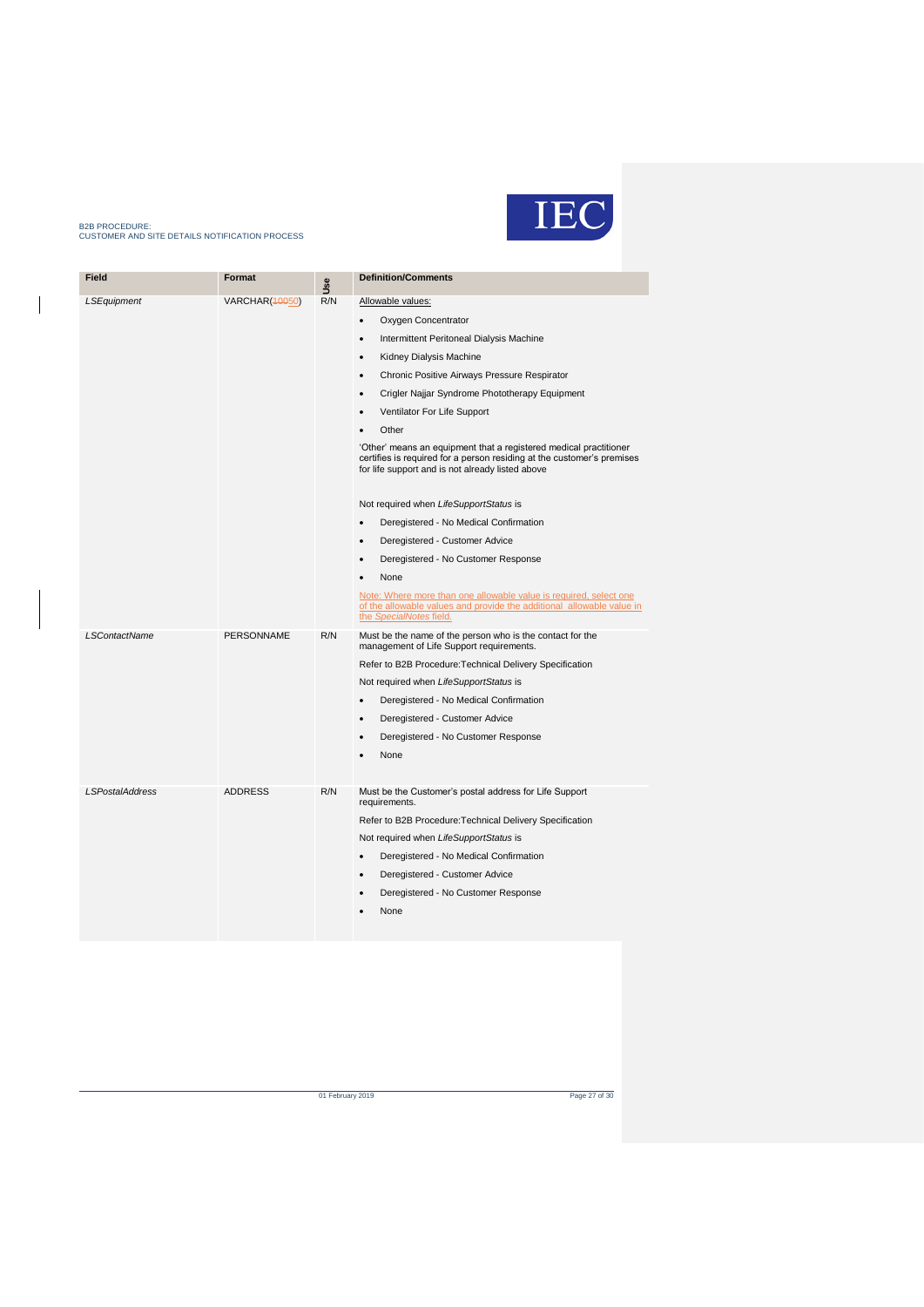

| <b>Definition/Comments</b> |
|----------------------------|

| <b>Field</b>           | Format                | <b>Jse</b> | <b>Definition/Comments</b>                                                                                                                                                                      |
|------------------------|-----------------------|------------|-------------------------------------------------------------------------------------------------------------------------------------------------------------------------------------------------|
| LSEquipment            | <b>VARCHAR(40050)</b> | R/N        | Allowable values:                                                                                                                                                                               |
|                        |                       |            | Oxygen Concentrator<br>$\bullet$                                                                                                                                                                |
|                        |                       |            | Intermittent Peritoneal Dialysis Machine                                                                                                                                                        |
|                        |                       |            | Kidney Dialysis Machine<br>$\bullet$                                                                                                                                                            |
|                        |                       |            | Chronic Positive Airways Pressure Respirator<br>$\bullet$                                                                                                                                       |
|                        |                       |            | Crigler Najjar Syndrome Phototherapy Equipment                                                                                                                                                  |
|                        |                       |            | Ventilator For Life Support                                                                                                                                                                     |
|                        |                       |            | Other                                                                                                                                                                                           |
|                        |                       |            | 'Other' means an equipment that a registered medical practitioner<br>certifies is required for a person residing at the customer's premises<br>for life support and is not already listed above |
|                        |                       |            | Not required when LifeSupportStatus is                                                                                                                                                          |
|                        |                       |            | Deregistered - No Medical Confirmation                                                                                                                                                          |
|                        |                       |            | Deregistered - Customer Advice                                                                                                                                                                  |
|                        |                       |            | Deregistered - No Customer Response                                                                                                                                                             |
|                        |                       |            | None                                                                                                                                                                                            |
|                        |                       |            | Note: Where more than one allowable value is required, select one<br>of the allowable values and provide the additional allowable value in<br>the SpecialNotes field.                           |
| <b>LSContactName</b>   | PERSONNAME            | R/N        | Must be the name of the person who is the contact for the<br>management of Life Support requirements.                                                                                           |
|                        |                       |            | Refer to B2B Procedure: Technical Delivery Specification                                                                                                                                        |
|                        |                       |            | Not required when LifeSupportStatus is                                                                                                                                                          |
|                        |                       |            | Deregistered - No Medical Confirmation<br>$\bullet$                                                                                                                                             |
|                        |                       |            | Deregistered - Customer Advice                                                                                                                                                                  |
|                        |                       |            | Deregistered - No Customer Response                                                                                                                                                             |
|                        |                       |            | None                                                                                                                                                                                            |
| <b>LSPostalAddress</b> | <b>ADDRESS</b>        | R/N        | Must be the Customer's postal address for Life Support<br>requirements.                                                                                                                         |
|                        |                       |            | Refer to B2B Procedure: Technical Delivery Specification                                                                                                                                        |
|                        |                       |            | Not required when LifeSupportStatus is                                                                                                                                                          |
|                        |                       |            | Deregistered - No Medical Confirmation                                                                                                                                                          |
|                        |                       |            | Deregistered - Customer Advice                                                                                                                                                                  |
|                        |                       |            | Deregistered - No Customer Response                                                                                                                                                             |
|                        |                       |            | None                                                                                                                                                                                            |
|                        |                       |            |                                                                                                                                                                                                 |

of February 2019 Page 27 of 30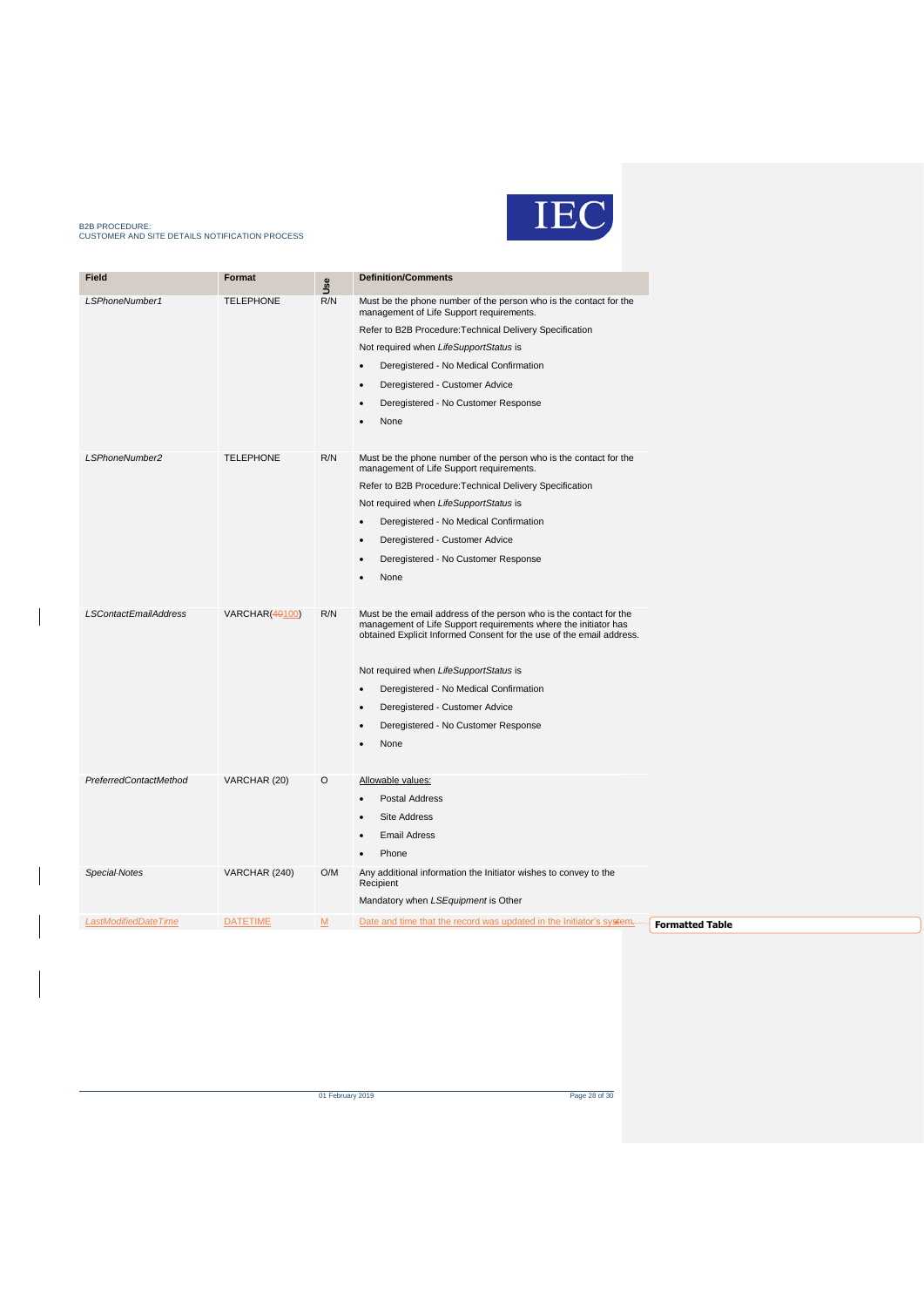

| Field                        | Format           | Use | <b>Definition/Comments</b>                                                                                                                                                                                    |
|------------------------------|------------------|-----|---------------------------------------------------------------------------------------------------------------------------------------------------------------------------------------------------------------|
| LSPhoneNumber1               | <b>TELEPHONE</b> | R/N | Must be the phone number of the person who is the contact for the<br>management of Life Support requirements.                                                                                                 |
|                              |                  |     | Refer to B2B Procedure: Technical Delivery Specification                                                                                                                                                      |
|                              |                  |     | Not required when LifeSupportStatus is                                                                                                                                                                        |
|                              |                  |     | Deregistered - No Medical Confirmation<br>$\bullet$                                                                                                                                                           |
|                              |                  |     | Deregistered - Customer Advice                                                                                                                                                                                |
|                              |                  |     | Deregistered - No Customer Response<br>$\bullet$                                                                                                                                                              |
|                              |                  |     | None                                                                                                                                                                                                          |
|                              |                  |     |                                                                                                                                                                                                               |
| LSPhoneNumber2               | <b>TELEPHONE</b> | R/N | Must be the phone number of the person who is the contact for the<br>management of Life Support requirements.                                                                                                 |
|                              |                  |     | Refer to B2B Procedure: Technical Delivery Specification                                                                                                                                                      |
|                              |                  |     | Not required when LifeSupportStatus is                                                                                                                                                                        |
|                              |                  |     | Deregistered - No Medical Confirmation<br>$\bullet$                                                                                                                                                           |
|                              |                  |     | Deregistered - Customer Advice                                                                                                                                                                                |
|                              |                  |     | Deregistered - No Customer Response                                                                                                                                                                           |
|                              |                  |     | None                                                                                                                                                                                                          |
|                              |                  |     |                                                                                                                                                                                                               |
| <b>LSContactEmailAddress</b> | VARCHAR(40100)   | R/N | Must be the email address of the person who is the contact for the<br>management of Life Support requirements where the initiator has<br>obtained Explicit Informed Consent for the use of the email address. |
|                              |                  |     | Not required when LifeSupportStatus is                                                                                                                                                                        |
|                              |                  |     | Deregistered - No Medical Confirmation<br>$\bullet$                                                                                                                                                           |
|                              |                  |     | Deregistered - Customer Advice<br>$\bullet$                                                                                                                                                                   |
|                              |                  |     | Deregistered - No Customer Response                                                                                                                                                                           |
|                              |                  |     | None                                                                                                                                                                                                          |
|                              |                  |     |                                                                                                                                                                                                               |
| PreferredContactMethod       | VARCHAR (20)     | O   | Allowable values:                                                                                                                                                                                             |
|                              |                  |     | Postal Address                                                                                                                                                                                                |
|                              |                  |     | <b>Site Address</b>                                                                                                                                                                                           |
|                              |                  |     | <b>Email Adress</b>                                                                                                                                                                                           |
|                              |                  |     | Phone                                                                                                                                                                                                         |
| Special-Notes                | VARCHAR (240)    | O/M | Any additional information the Initiator wishes to convey to the                                                                                                                                              |
|                              |                  |     | Recipient                                                                                                                                                                                                     |
|                              |                  |     | Mandatory when LSEquipment is Other                                                                                                                                                                           |
| LastModifiedDateTime         | <b>DATETIME</b>  | $M$ | Date and time that the record was updated in the Initiator's system.                                                                                                                                          |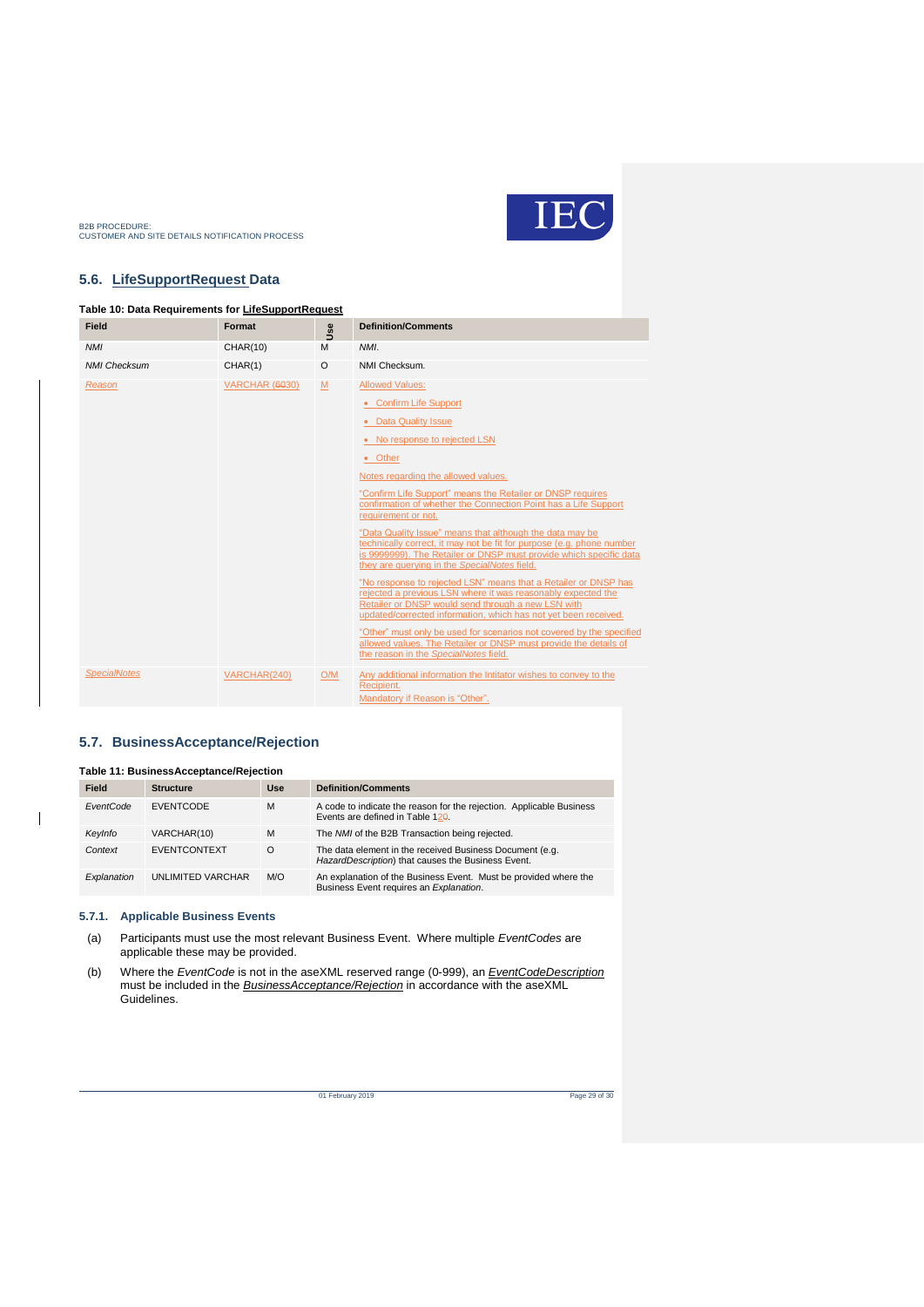

### <span id="page-28-0"></span>**5.6. LifeSupportRequest Data**

#### <span id="page-28-2"></span>**Table 10: Data Requirements for LifeSupportRequest**

| Field               | Format                | Jse     | <b>Definition/Comments</b>                                                                                                                                                                                                                                                                                                                                                                                                                                                                                                                                                                                                                                                                                                                                                                                                                                                                                                                                                                                                      |
|---------------------|-----------------------|---------|---------------------------------------------------------------------------------------------------------------------------------------------------------------------------------------------------------------------------------------------------------------------------------------------------------------------------------------------------------------------------------------------------------------------------------------------------------------------------------------------------------------------------------------------------------------------------------------------------------------------------------------------------------------------------------------------------------------------------------------------------------------------------------------------------------------------------------------------------------------------------------------------------------------------------------------------------------------------------------------------------------------------------------|
| <b>NMI</b>          | <b>CHAR(10)</b>       | M       | NMI.                                                                                                                                                                                                                                                                                                                                                                                                                                                                                                                                                                                                                                                                                                                                                                                                                                                                                                                                                                                                                            |
| <b>NMI Checksum</b> | CHAR(1)               | $\circ$ | NMI Checksum.                                                                                                                                                                                                                                                                                                                                                                                                                                                                                                                                                                                                                                                                                                                                                                                                                                                                                                                                                                                                                   |
| Reason              | <b>VARCHAR (6030)</b> | M       | <b>Allowed Values:</b><br>• Confirm Life Support<br>• Data Quality Issue<br>• No response to rejected LSN<br>• Other<br>Notes regarding the allowed values.<br>"Confirm Life Support" means the Retailer or DNSP requires<br>confirmation of whether the Connection Point has a Life Support<br>requirement or not.<br>"Data Quality Issue" means that although the data may be<br>technically correct, it may not be fit for purpose (e.g. phone number<br>is 9999999). The Retailer or DNSP must provide which specific data<br>they are querying in the SpecialNotes field.<br>"No response to rejected LSN" means that a Retailer or DNSP has<br>rejected a previous LSN where it was reasonably expected the<br>Retailer or DNSP would send through a new LSN with<br>updated/corrected information, which has not yet been received.<br>"Other" must only be used for scenarios not covered by the specified<br>allowed values. The Retailer or DNSP must provide the details of<br>the reason in the SpecialNotes field. |
| <b>SpecialNotes</b> | VARCHAR(240)          | O/M     | Any additional information the Intitator wishes to convey to the<br>Recipient.<br>Mandatory if Reason is "Other".                                                                                                                                                                                                                                                                                                                                                                                                                                                                                                                                                                                                                                                                                                                                                                                                                                                                                                               |

### <span id="page-28-1"></span>**5.7. BusinessAcceptance/Rejection**

<span id="page-28-3"></span>

| <b>Table 11: BusinessAcceptance/Rejection</b> |                          |          |                                                                                                                  |  |  |
|-----------------------------------------------|--------------------------|----------|------------------------------------------------------------------------------------------------------------------|--|--|
| <b>Field</b>                                  | <b>Structure</b>         | Use      | <b>Definition/Comments</b>                                                                                       |  |  |
| EventCode                                     | <b>EVENTCODE</b>         | M        | A code to indicate the reason for the rejection. Applicable Business<br>Events are defined in Table $12\theta$ . |  |  |
| KeyInfo                                       | VARCHAR(10)              | M        | The NMI of the B2B Transaction being rejected.                                                                   |  |  |
| Context                                       | <b>EVENTCONTEXT</b>      | $\Omega$ | The data element in the received Business Document (e.g.<br>HazardDescription) that causes the Business Event.   |  |  |
| Explanation                                   | <b>UNLIMITED VARCHAR</b> | M/O      | An explanation of the Business Event. Must be provided where the<br>Business Event requires an Explanation.      |  |  |

#### **5.7.1. Applicable Business Events**

 $\overline{1}$ 

- (a) Participants must use the most relevant Business Event. Where multiple *EventCodes* are applicable these may be provided.
- (b) Where the *EventCode* is not in the aseXML reserved range (0-999), an *EventCodeDescription* must be included in the *BusinessAcceptance/Rejection* in accordance with the aseXML Guidelines.